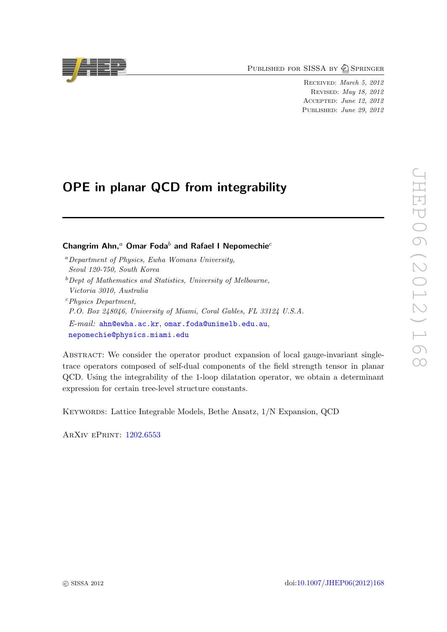PUBLISHED FOR SISSA BY 2 SPRINGER

Received: March 5, 2012 Revised: May 18, 2012 Accepted: June 12, 2012 PUBLISHED: June 29, 2012

# OPE in planar QCD from integrability

# Changrim Ahn,<sup>a</sup> Omar Foda<sup>b</sup> and Rafael I Nepomechie<sup>c</sup>

- $a$  Department of Physics, Ewha Womans University, Seoul 120-750, South Korea
- $b$  Dept of Mathematics and Statistics, University of Melbourne,
- Victoria 3010, Australia <sup>c</sup>Physics Department,
- P.O. Box 248046, University of Miami, Coral Gables, FL 33124 U.S.A.
- E-mail: [ahn@ewha.ac.kr](mailto:ahn@ewha.ac.kr), [omar.foda@unimelb.edu.au](mailto:omar.foda@unimelb.edu.au),
- [nepomechie@physics.miami.edu](mailto:nepomechie@physics.miami.edu)

Abstract: We consider the operator product expansion of local gauge-invariant singletrace operators composed of self-dual components of the field strength tensor in planar QCD. Using the integrability of the 1-loop dilatation operator, we obtain a determinant expression for certain tree-level structure constants.

Keywords: Lattice Integrable Models, Bethe Ansatz, 1/N Expansion, QCD

ArXiv ePrint: [1202.6553](http://arxiv.org/abs/1202.6553)

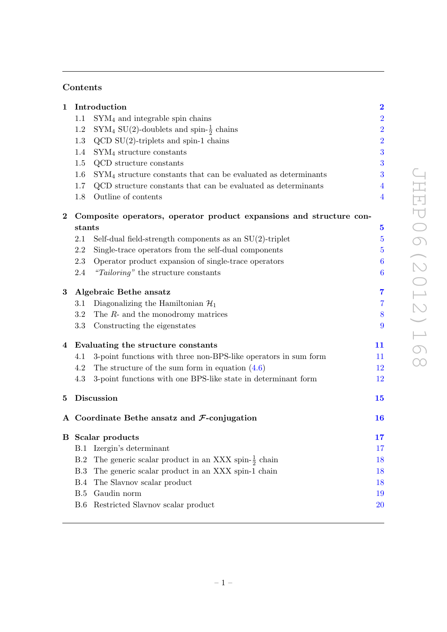# Contents

| $\mathbf{1}$ |                                                                     | Introduction                                                     | $\overline{\mathbf{2}}$ |
|--------------|---------------------------------------------------------------------|------------------------------------------------------------------|-------------------------|
|              | 1.1                                                                 | $SYM4$ and integrable spin chains                                | $\overline{a}$          |
|              | 1.2                                                                 | SYM <sub>4</sub> SU(2)-doublets and spin- $\frac{1}{2}$ chains   | $\overline{2}$          |
|              | 1.3                                                                 | $QCD SU(2)$ -triplets and spin-1 chains                          | $\overline{2}$          |
|              | 1.4                                                                 | $SYM4$ structure constants                                       | 3                       |
|              | 1.5                                                                 | QCD structure constants                                          | 3                       |
|              | 1.6                                                                 | $SYM4$ structure constants that can be evaluated as determinants | 3                       |
|              | 1.7                                                                 | QCD structure constants that can be evaluated as determinants    | 4                       |
|              | 1.8                                                                 | Outline of contents                                              | $\overline{4}$          |
| $\bf{2}$     | Composite operators, operator product expansions and structure con- |                                                                  |                         |
|              | stants                                                              |                                                                  | $\overline{\mathbf{5}}$ |
|              | 2.1                                                                 | Self-dual field-strength components as an $SU(2)$ -triplet       | $\overline{5}$          |
|              | 2.2                                                                 | Single-trace operators from the self-dual components             | 5                       |
|              | 2.3                                                                 | Operator product expansion of single-trace operators             | 6                       |
|              | 2.4                                                                 | "Tailoring" the structure constants                              | $\boldsymbol{6}$        |
| 3            | Algebraic Bethe ansatz                                              |                                                                  | 7                       |
|              | 3.1                                                                 | Diagonalizing the Hamiltonian $\mathcal{H}_1$                    | 7                       |
|              | 3.2                                                                 | The $R$ - and the monodromy matrices                             | 8                       |
|              | 3.3                                                                 | Constructing the eigenstates                                     | 9                       |
|              | 4 Evaluating the structure constants                                |                                                                  | 11                      |
|              | 4.1                                                                 | 3-point functions with three non-BPS-like operators in sum form  | $11\,$                  |
|              | 4.2                                                                 | The structure of the sum form in equation $(4.6)$                | 12                      |
|              | 4.3                                                                 | 3-point functions with one BPS-like state in determinant form    | 12                      |
| $\bf{5}$     |                                                                     | Discussion                                                       | 15                      |
|              |                                                                     | A Coordinate Bethe ansatz and $\mathcal{F}\text{-conjugation}$   | 16                      |
|              | <b>B</b> Scalar products                                            |                                                                  | 17                      |
|              | B.1                                                                 | Izergin's determinant                                            | 17                      |
|              | B.2                                                                 | The generic scalar product in an XXX spin- $\frac{1}{2}$ chain   | 18                      |
|              | B.3                                                                 | The generic scalar product in an XXX spin-1 chain                | 18                      |
|              | B.4                                                                 | The Slavnov scalar product                                       | 18                      |
|              | B.5                                                                 | Gaudin norm                                                      | 19                      |
|              | B.6                                                                 | Restricted Slavnov scalar product                                | $20\,$                  |
|              |                                                                     |                                                                  |                         |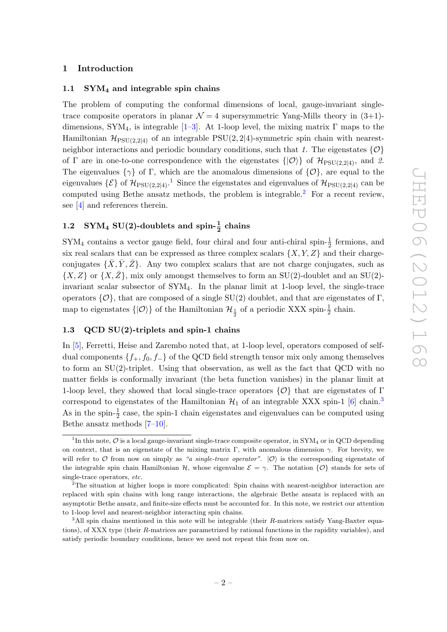### <span id="page-2-0"></span>1 Introduction

### <span id="page-2-1"></span>1.1  $\text{SYM}_4$  and integrable spin chains

The problem of computing the conformal dimensions of local, gauge-invariant singletrace composite operators in planar  $\mathcal{N}=4$  supersymmetric Yang-Mills theory in  $(3+1)$ -dimensions, SYM<sub>4</sub>, is integrable [\[1](#page-22-0)[–3\]](#page-23-0). At 1-loop level, the mixing matrix  $\Gamma$  maps to the Hamiltonian  $\mathcal{H}_{PSU(2,2|4)}$  of an integrable PSU(2, 2|4)-symmetric spin chain with nearestneighbor interactions and periodic boundary conditions, such that 1. The eigenstates  $\{O\}$ of Γ are in one-to-one correspondence with the eigenstates  $\{|\mathcal{O}\rangle\}$  of  $\mathcal{H}_{PSU(2,2|4)}$ , and 2. The eigenvalues  $\{\gamma\}$  of Γ, which are the anomalous dimensions of  $\{\mathcal{O}\}\$ , are equal to the eigenvalues  $\{\mathcal{E}\}\$  of  $\mathcal{H}_{\mathrm{PSU}(2,2|4)}$ .<sup>[1](#page-2-4)</sup> Since the eigenstates and eigenvalues of  $\mathcal{H}_{\mathrm{PSU}(2,2|4)}$  can be computed using Bethe ansatz methods, the problem is integrable.<sup>[2](#page-2-5)</sup> For a recent review, see [\[4\]](#page-23-1) and references therein.

# <span id="page-2-2"></span>1.2 SYM<sub>4</sub> SU(2)-doublets and spin- $\frac{1}{2}$  chains

 $SYM<sub>4</sub>$  contains a vector gauge field, four chiral and four anti-chiral spin- $\frac{1}{2}$  fermions, and six real scalars that can be expressed as three complex scalars  $\{X, Y, Z\}$  and their chargeconjugates  $\{X, Y, Z\}$ . Any two complex scalars that are not charge conjugates, such as  $\{X, Z\}$  or  $\{X, \bar{Z}\}$ , mix only amongst themselves to form an SU(2)-doublet and an SU(2)invariant scalar subsector of SYM4. In the planar limit at 1-loop level, the single-trace operators  $\{\mathcal{O}\}\$ , that are composed of a single SU(2) doublet, and that are eigenstates of  $\Gamma$ , map to eigenstates  $\{|\mathcal{O}\rangle\}$  of the Hamiltonian  $\mathcal{H}_{\frac{1}{2}}$  of a periodic XXX spin- $\frac{1}{2}$  chain.

## <span id="page-2-3"></span>1.3 QCD SU(2)-triplets and spin-1 chains

In [\[5\]](#page-23-2), Ferretti, Heise and Zarembo noted that, at 1-loop level, operators composed of selfdual components  ${f_+, f_0, f_-\}$  of the QCD field strength tensor mix only among themselves to form an SU(2)-triplet. Using that observation, as well as the fact that QCD with no matter fields is conformally invariant (the beta function vanishes) in the planar limit at 1-loop level, they showed that local single-trace operators  $\{\mathcal{O}\}\$  that are eigenstates of  $\Gamma$ correspond to eigenstates of the Hamiltonian  $\mathcal{H}_1$  of an integrable XXX spin-1 [\[6\]](#page-23-3) chain.<sup>[3](#page-2-6)</sup> As in the spin- $\frac{1}{2}$  case, the spin-1 chain eigenstates and eigenvalues can be computed using Bethe ansatz methods [\[7–](#page-23-4)[10\]](#page-23-5).

<span id="page-2-4"></span><sup>&</sup>lt;sup>1</sup>In this note,  $\mathcal O$  is a local gauge-invariant single-trace composite operator, in SYM<sub>4</sub> or in QCD depending on context, that is an eigenstate of the mixing matrix Γ, with anomalous dimension  $\gamma$ . For brevity, we will refer to O from now on simply as "a single-trace operator".  $|0\rangle$  is the corresponding eigenstate of the integrable spin chain Hamiltonian H, whose eigenvalue  $\mathcal{E} = \gamma$ . The notation  $\{O\}$  stands for sets of single-trace operators, etc.

<span id="page-2-5"></span><sup>2</sup>The situation at higher loops is more complicated: Spin chains with nearest-neighbor interaction are replaced with spin chains with long range interactions, the algebraic Bethe ansatz is replaced with an asymptotic Bethe ansatz, and finite-size effects must be accounted for. In this note, we restrict our attention to 1-loop level and nearest-neighbor interacting spin chains.

<span id="page-2-6"></span> $3$ All spin chains mentioned in this note will be integrable (their R-matrices satisfy Yang-Baxter equations), of XXX type (their R-matrices are parametrized by rational functions in the rapidity variables), and satisfy periodic boundary conditions, hence we need not repeat this from now on.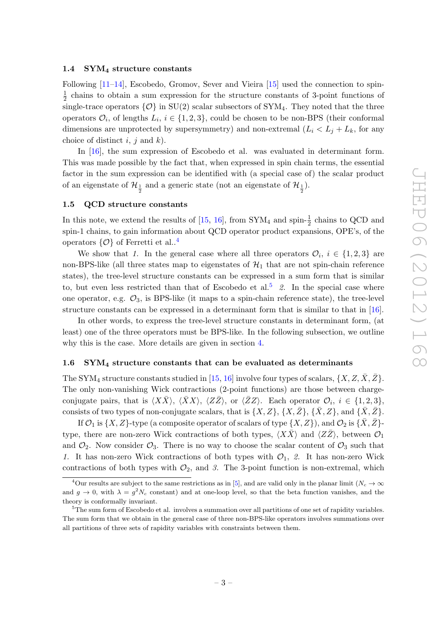#### <span id="page-3-0"></span>1.4 SYM<sup>4</sup> structure constants

Following [\[11–](#page-23-6)[14\]](#page-23-7), Escobedo, Gromov, Sever and Vieira [\[15\]](#page-23-8) used the connection to spin-1  $\frac{1}{2}$  chains to obtain a sum expression for the structure constants of 3-point functions of single-trace operators  $\{\mathcal{O}\}\$ in SU(2) scalar subsectors of SYM<sub>4</sub>. They noted that the three operators  $\mathcal{O}_i$ , of lengths  $L_i$ ,  $i \in \{1, 2, 3\}$ , could be chosen to be non-BPS (their conformal dimensions are unprotected by supersymmetry) and non-extremal  $(L_i < L_j + L_k$ , for any choice of distinct i, j and k).

In [\[16\]](#page-23-9), the sum expression of Escobedo et al. was evaluated in determinant form. This was made possible by the fact that, when expressed in spin chain terms, the essential factor in the sum expression can be identified with (a special case of) the scalar product of an eigenstate of  $\mathcal{H}_{\frac{1}{2}}$  and a generic state (not an eigenstate of  $\mathcal{H}_{\frac{1}{2}}$ ).

# <span id="page-3-1"></span>1.5 QCD structure constants

In this note, we extend the results of [\[15,](#page-23-8) [16\]](#page-23-9), from  $\text{SYM}_4$  and spin- $\frac{1}{2}$  chains to QCD and spin-1 chains, to gain information about QCD operator product expansions, OPE's, of the operators  $\{\mathcal{O}\}\$  of Ferretti et al..<sup>[4](#page-3-3)</sup>

We show that 1. In the general case where all three operators  $\mathcal{O}_i$ ,  $i \in \{1,2,3\}$  are non-BPS-like (all three states map to eigenstates of  $\mathcal{H}_1$  that are not spin-chain reference states), the tree-level structure constants can be expressed in a sum form that is similar to, but even less restricted than that of Escobedo et al.<sup>[5](#page-3-4)</sup> 2. In the special case where one operator, e.g.  $\mathcal{O}_3$ , is BPS-like (it maps to a spin-chain reference state), the tree-level structure constants can be expressed in a determinant form that is similar to that in [\[16\]](#page-23-9).

In other words, to express the tree-level structure constants in determinant form, (at least) one of the three operators must be BPS-like. In the following subsection, we outline why this is the case. More details are given in section [4.](#page-11-0)

# <span id="page-3-2"></span>1.6 SYM<sup>4</sup> structure constants that can be evaluated as determinants

The SYM<sub>4</sub> structure constants studied in [\[15,](#page-23-8) [16\]](#page-23-9) involve four types of scalars,  $\{X, Z, \overline{X}, \overline{Z}\}$ . The only non-vanishing Wick contractions (2-point functions) are those between chargeconjugate pairs, that is  $\langle X\bar{X}\rangle$ ,  $\langle \bar{X}X\rangle$ ,  $\langle Z\bar{Z}\rangle$ , or  $\langle \bar{Z}Z\rangle$ . Each operator  $\mathcal{O}_i$ ,  $i \in \{1, 2, 3\}$ , consists of two types of non-conjugate scalars, that is  $\{X, Z\}$ ,  $\{X, \bar{Z}\}$ ,  $\{\bar{X}, Z\}$ , and  $\{\bar{X}, \bar{Z}\}$ .

If  $\mathcal{O}_1$  is  $\{X, Z\}$ -type (a composite operator of scalars of type  $\{X, Z\}$ ), and  $\mathcal{O}_2$  is  $\{\bar{X}, \bar{Z}\}$ type, there are non-zero Wick contractions of both types,  $\langle X\overline{X}\rangle$  and  $\langle Z\overline{Z}\rangle$ , between  $\mathcal{O}_1$ and  $\mathcal{O}_2$ . Now consider  $\mathcal{O}_3$ . There is no way to choose the scalar content of  $\mathcal{O}_3$  such that 1. It has non-zero Wick contractions of both types with  $\mathcal{O}_1$ , 2. It has non-zero Wick contractions of both types with  $\mathcal{O}_2$ , and 3. The 3-point function is non-extremal, which

<span id="page-3-3"></span><sup>&</sup>lt;sup>4</sup>Our results are subject to the same restrictions as in [\[5\]](#page-23-2), and are valid only in the planar limit ( $N_c \rightarrow \infty$ and  $g \to 0$ , with  $\lambda = g^2 N_c$  constant) and at one-loop level, so that the beta function vanishes, and the theory is conformally invariant.

<span id="page-3-4"></span> $5$ The sum form of Escobedo et al. involves a summation over all partitions of one set of rapidity variables. The sum form that we obtain in the general case of three non-BPS-like operators involves summations over all partitions of three sets of rapidity variables with constraints between them.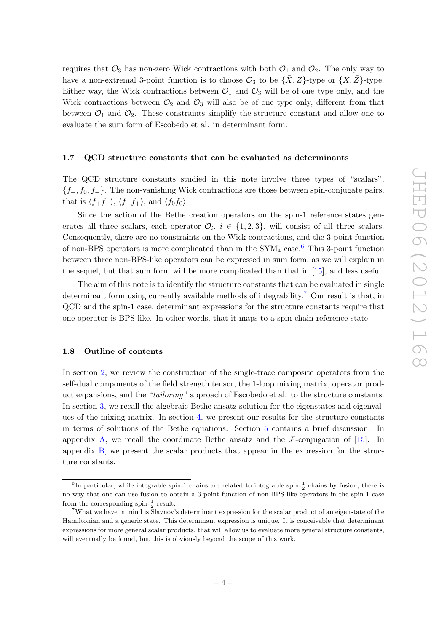requires that  $\mathcal{O}_3$  has non-zero Wick contractions with both  $\mathcal{O}_1$  and  $\mathcal{O}_2$ . The only way to have a non-extremal 3-point function is to choose  $\mathcal{O}_3$  to be  $\{\bar{X}, Z\}$ -type or  $\{X, \bar{Z}\}$ -type. Either way, the Wick contractions between  $\mathcal{O}_1$  and  $\mathcal{O}_3$  will be of one type only, and the Wick contractions between  $\mathcal{O}_2$  and  $\mathcal{O}_3$  will also be of one type only, different from that between  $\mathcal{O}_1$  and  $\mathcal{O}_2$ . These constraints simplify the structure constant and allow one to evaluate the sum form of Escobedo et al. in determinant form.

#### <span id="page-4-0"></span>1.7 QCD structure constants that can be evaluated as determinants

The QCD structure constants studied in this note involve three types of "scalars",  ${f_+, f_0, f_-\}.$  The non-vanishing Wick contractions are those between spin-conjugate pairs, that is  $\langle f_+f_-\rangle$ ,  $\langle f_-f_+\rangle$ , and  $\langle f_0f_0\rangle$ .

Since the action of the Bethe creation operators on the spin-1 reference states generates all three scalars, each operator  $\mathcal{O}_i$ ,  $i \in \{1,2,3\}$ , will consist of all three scalars. Consequently, there are no constraints on the Wick contractions, and the 3-point function of non-BPS operators is more complicated than in the  $\text{SYM}_4$  case.<sup>[6](#page-4-2)</sup> This 3-point function between three non-BPS-like operators can be expressed in sum form, as we will explain in the sequel, but that sum form will be more complicated than that in [\[15\]](#page-23-8), and less useful.

The aim of this note is to identify the structure constants that can be evaluated in single determinant form using currently available methods of integrability.<sup>[7](#page-4-3)</sup> Our result is that, in QCD and the spin-1 case, determinant expressions for the structure constants require that one operator is BPS-like. In other words, that it maps to a spin chain reference state.

#### <span id="page-4-1"></span>1.8 Outline of contents

In section [2,](#page-5-0) we review the construction of the single-trace composite operators from the self-dual components of the field strength tensor, the 1-loop mixing matrix, operator product expansions, and the "tailoring" approach of Escobedo et al. to the structure constants. In section [3,](#page-7-0) we recall the algebraic Bethe ansatz solution for the eigenstates and eigenvalues of the mixing matrix. In section [4,](#page-11-0) we present our results for the structure constants in terms of solutions of the Bethe equations. Section [5](#page-15-0) contains a brief discussion. In appendix [A,](#page-16-0) we recall the coordinate Bethe ansatz and the  $\mathcal{F}\text{-conigation}$  of [\[15\]](#page-23-8). In appendix [B,](#page-17-0) we present the scalar products that appear in the expression for the structure constants.

<span id="page-4-2"></span><sup>&</sup>lt;sup>6</sup>In particular, while integrable spin-1 chains are related to integrable spin- $\frac{1}{2}$  chains by fusion, there is no way that one can use fusion to obtain a 3-point function of non-BPS-like operators in the spin-1 case from the corresponding spin- $\frac{1}{2}$  result.

<span id="page-4-3"></span><sup>7</sup>What we have in mind is Slavnov's determinant expression for the scalar product of an eigenstate of the Hamiltonian and a generic state. This determinant expression is unique. It is conceivable that determinant expressions for more general scalar products, that will allow us to evaluate more general structure constants, will eventually be found, but this is obviously beyond the scope of this work.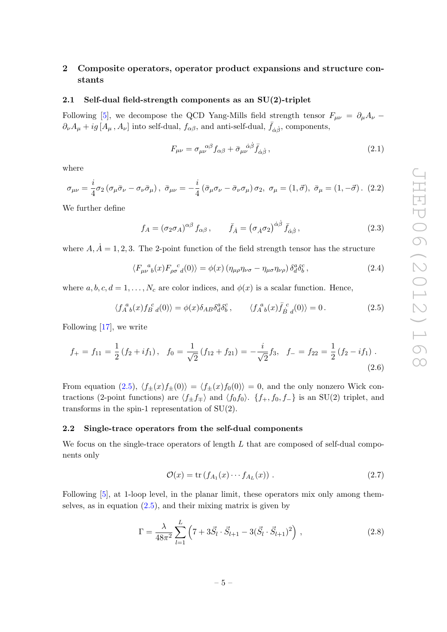# <span id="page-5-0"></span>2 Composite operators, operator product expansions and structure constants

### <span id="page-5-1"></span>2.1 Self-dual field-strength components as an SU(2)-triplet

Following [\[5\]](#page-23-2), we decompose the QCD Yang-Mills field strength tensor  $F_{\mu\nu} = \partial_{\mu}A_{\nu}$  –  $\partial_{\nu}A_{\mu} + ig[A_{\mu}, A_{\nu}]$  into self-dual,  $f_{\alpha\beta}$ , and anti-self-dual,  $\bar{f}_{\dot{\alpha}\dot{\beta}}$ , components,

$$
F_{\mu\nu} = \sigma_{\mu\nu}^{\ \alpha\beta} f_{\alpha\beta} + \bar{\sigma}_{\mu\nu}^{\ \dot{\alpha}\dot{\beta}} \bar{f}_{\dot{\alpha}\dot{\beta}} \,, \tag{2.1}
$$

where

$$
\sigma_{\mu\nu} = \frac{i}{4}\sigma_2 \left(\sigma_\mu \bar{\sigma}_\nu - \sigma_\nu \bar{\sigma}_\mu\right), \quad \bar{\sigma}_{\mu\nu} = -\frac{i}{4} \left(\bar{\sigma}_\mu \sigma_\nu - \bar{\sigma}_\nu \sigma_\mu\right) \sigma_2, \quad \sigma_\mu = (1, \vec{\sigma}), \quad \bar{\sigma}_\mu = (1, -\vec{\sigma}). \tag{2.2}
$$

We further define

$$
f_A = (\sigma_2 \sigma_A)^{\alpha \beta} f_{\alpha \beta}, \qquad \bar{f}_{\dot{A}} = (\sigma_{\dot{A}} \sigma_2)^{\dot{\alpha} \dot{\beta}} \bar{f}_{\dot{\alpha} \dot{\beta}}, \qquad (2.3)
$$

where  $A, \dot{A} = 1, 2, 3$ . The 2-point function of the field strength tensor has the structure

$$
\langle F_{\mu\nu}^{\ \ a}(\alpha)F_{\rho\sigma}^{\ \ c}d(0)\rangle = \phi(\alpha)\left(\eta_{\mu\rho}\eta_{\nu\sigma} - \eta_{\mu\sigma}\eta_{\nu\rho}\right)\delta^a_d\delta^c_b\,,\tag{2.4}
$$

where  $a, b, c, d = 1, \ldots, N_c$  are color indices, and  $\phi(x)$  is a scalar function. Hence,

<span id="page-5-3"></span>
$$
\langle f_A^a{}_b(x) f_B^c{}_d(0) \rangle = \phi(x) \delta_{AB} \delta_d^a \delta_b^c, \qquad \langle f_A^a{}_b(x) \bar{f}_{\dot{B}}^c{}_d(0) \rangle = 0. \tag{2.5}
$$

Following [\[17\]](#page-23-10), we write

$$
f_{+} = f_{11} = \frac{1}{2} \left( f_{2} + if_{1} \right), \quad f_{0} = \frac{1}{\sqrt{2}} \left( f_{12} + f_{21} \right) = -\frac{i}{\sqrt{2}} f_{3}, \quad f_{-} = f_{22} = \frac{1}{2} \left( f_{2} - if_{1} \right). \tag{2.6}
$$

From equation [\(2.5\)](#page-5-3),  $\langle f_{\pm}(x)f_{\pm}(0)\rangle = \langle f_{\pm}(x)f_{0}(0)\rangle = 0$ , and the only nonzero Wick contractions (2-point functions) are  $\langle f_{\pm}f_{\mp}\rangle$  and  $\langle f_0f_0\rangle$ .  $\{f_+, f_0, f_-\}\$ is an SU(2) triplet, and transforms in the spin-1 representation of SU(2).

#### <span id="page-5-2"></span>2.2 Single-trace operators from the self-dual components

We focus on the single-trace operators of length  $L$  that are composed of self-dual components only

<span id="page-5-5"></span>
$$
\mathcal{O}(x) = \text{tr}\left(f_{A_1}(x)\cdots f_{A_L}(x)\right). \tag{2.7}
$$

Following [\[5\]](#page-23-2), at 1-loop level, in the planar limit, these operators mix only among themselves, as in equation  $(2.5)$ , and their mixing matrix is given by

<span id="page-5-4"></span>
$$
\Gamma = \frac{\lambda}{48\pi^2} \sum_{l=1}^{L} \left( 7 + 3\vec{S}_l \cdot \vec{S}_{l+1} - 3(\vec{S}_l \cdot \vec{S}_{l+1})^2 \right) , \qquad (2.8)
$$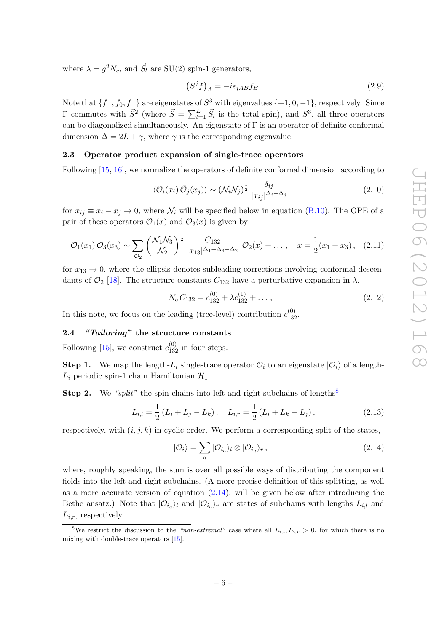where  $\lambda = g^2 N_c$ , and  $\vec{S}_l$  are SU(2) spin-1 generators,

$$
(Sjf)A = -i\epsilon_{jAB}f_B.
$$
 (2.9)

Note that  $\{f_+, f_0, f_-\}$  are eigenstates of  $S^3$  with eigenvalues  $\{+1, 0, -1\}$ , respectively. Since  $\Gamma$  commutes with  $\vec{S}^2$  (where  $\vec{S} = \sum_{l=1}^L \vec{S}_l$  is the total spin), and  $S^3$ , all three operators can be diagonalized simultaneously. An eigenstate of  $\Gamma$  is an operator of definite conformal dimension  $\Delta = 2L + \gamma$ , where  $\gamma$  is the corresponding eigenvalue.

#### <span id="page-6-0"></span>2.3 Operator product expansion of single-trace operators

Following [\[15,](#page-23-8) [16\]](#page-23-9), we normalize the operators of definite conformal dimension according to

$$
\langle \mathcal{O}_i(x_i) \,\bar{\mathcal{O}}_j(x_j) \rangle \sim (\mathcal{N}_i \mathcal{N}_j)^{\frac{1}{2}} \frac{\delta_{ij}}{|x_{ij}|^{\Delta_i + \Delta_j}}
$$
\n(2.10)

for  $x_{ij} \equiv x_i - x_j \to 0$ , where  $\mathcal{N}_i$  will be specified below in equation [\(B.10\)](#page-19-1). The OPE of a pair of these operators  $\mathcal{O}_1(x)$  and  $\mathcal{O}_3(x)$  is given by

<span id="page-6-5"></span>
$$
\mathcal{O}_1(x_1)\,\mathcal{O}_3(x_3) \sim \sum_{\mathcal{O}_2} \left(\frac{\mathcal{N}_1\mathcal{N}_3}{\mathcal{N}_2}\right)^{\frac{1}{2}} \frac{C_{132}}{|x_{13}|^{\Delta_1+\Delta_3-\Delta_2}} \,\mathcal{O}_2(x) + \dots, \quad x = \frac{1}{2}(x_1+x_3), \quad (2.11)
$$

for  $x_{13} \rightarrow 0$ , where the ellipsis denotes subleading corrections involving conformal descendants of  $\mathcal{O}_2$  [\[18\]](#page-23-11). The structure constants  $C_{132}$  have a perturbative expansion in  $\lambda$ ,

$$
N_c C_{132} = c_{132}^{(0)} + \lambda c_{132}^{(1)} + \dots \,, \tag{2.12}
$$

In this note, we focus on the leading (tree-level) contribution  $c_{132}^{(0)}$ .

# <span id="page-6-1"></span>2.4 "Tailoring" the structure constants

Following [\[15\]](#page-23-8), we construct  $c_{132}^{(0)}$  in four steps.

**Step 1.** We map the length- $L_i$  single-trace operator  $\mathcal{O}_i$  to an eigenstate  $|\mathcal{O}_i\rangle$  of a length- $L_i$  periodic spin-1 chain Hamiltonian  $\mathcal{H}_1$ .

**Step 2.** We "split" the spin chains into left and right subchains of lengths<sup>[8](#page-6-2)</sup>

<span id="page-6-4"></span>
$$
L_{i,l} = \frac{1}{2} \left( L_i + L_j - L_k \right), \quad L_{i,r} = \frac{1}{2} \left( L_i + L_k - L_j \right), \tag{2.13}
$$

respectively, with  $(i, j, k)$  in cyclic order. We perform a corresponding split of the states,

<span id="page-6-3"></span>
$$
|O_i\rangle = \sum_a |O_{i_a}\rangle_l \otimes |O_{i_a}\rangle_r, \qquad (2.14)
$$

where, roughly speaking, the sum is over all possible ways of distributing the component fields into the left and right subchains. (A more precise definition of this splitting, as well as a more accurate version of equation  $(2.14)$ , will be given below after introducing the Bethe ansatz.) Note that  $|O_{i_a}\rangle_l$  and  $|O_{i_a}\rangle_r$  are states of subchains with lengths  $L_{i,l}$  and  $L_{i,r}$ , respectively.

<span id="page-6-2"></span><sup>&</sup>lt;sup>8</sup>We restrict the discussion to the "non-extremal" case where all  $L_{i,l}$ ,  $L_{i,r} > 0$ , for which there is no mixing with double-trace operators [\[15\]](#page-23-8).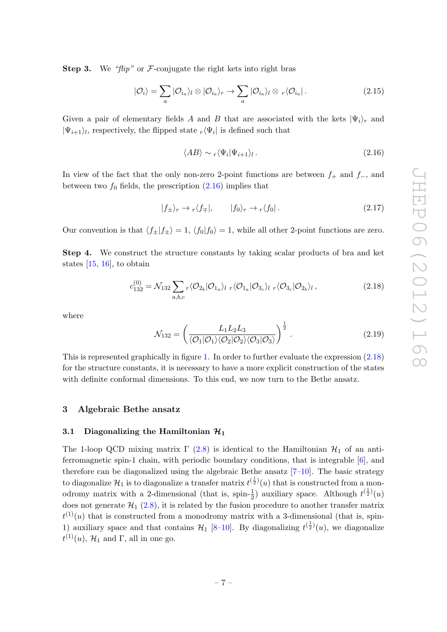**Step 3.** We "flip" or  $\mathcal{F}$ -conjugate the right kets into right bras

$$
|\mathcal{O}_i\rangle = \sum_a |\mathcal{O}_{i_a}\rangle_l \otimes |\mathcal{O}_{i_a}\rangle_r \to \sum_a |\mathcal{O}_{i_a}\rangle_l \otimes r \langle \mathcal{O}_{i_a}|\,. \tag{2.15}
$$

Given a pair of elementary fields A and B that are associated with the kets  $|\Psi_i\rangle_r$  and  $|\Psi_{i+1}\rangle_l$ , respectively, the flipped state  $_r\langle \Psi_i|$  is defined such that

<span id="page-7-2"></span>
$$
\langle AB \rangle \sim r \langle \Psi_i | \Psi_{i+1} \rangle_l \,. \tag{2.16}
$$

In view of the fact that the only non-zero 2-point functions are between  $f_+$  and  $f_-,$  and between two  $f_0$  fields, the prescription  $(2.16)$  implies that

<span id="page-7-5"></span>
$$
|f_{\pm}\rangle_r \to \sqrt{f_{\mp}}|, \qquad |f_0\rangle_r \to \sqrt{f_0}|. \tag{2.17}
$$

Our convention is that  $\langle f_{\pm}|f_{\pm}\rangle = 1$ ,  $\langle f_0|f_0\rangle = 1$ , while all other 2-point functions are zero.

Step 4. We construct the structure constants by taking scalar products of bra and ket states [\[15,](#page-23-8) [16\]](#page-23-9), to obtain

<span id="page-7-3"></span>
$$
c_{132}^{(0)} = \mathcal{N}_{132} \sum_{a,b,c} r \langle \mathcal{O}_{2_b} | \mathcal{O}_{1_a} \rangle_l \ r \langle \mathcal{O}_{1_a} | \mathcal{O}_{3_c} \rangle_l \ r \langle \mathcal{O}_{3_c} | \mathcal{O}_{2_b} \rangle_l \,, \tag{2.18}
$$

where

<span id="page-7-4"></span>
$$
\mathcal{N}_{132} = \left(\frac{L_1 L_2 L_3}{\langle \mathcal{O}_1 | \mathcal{O}_1 \rangle \langle \mathcal{O}_2 | \mathcal{O}_2 \rangle \langle \mathcal{O}_3 | \mathcal{O}_3 \rangle}\right)^{\frac{1}{2}}.
$$
\n(2.19)

This is represented graphically in figure [1.](#page-8-1) In order to further evaluate the expression [\(2.18\)](#page-7-3) for the structure constants, it is necessary to have a more explicit construction of the states with definite conformal dimensions. To this end, we now turn to the Bethe ansatz.

## <span id="page-7-0"></span>3 Algebraic Bethe ansatz

#### <span id="page-7-1"></span>3.1 Diagonalizing the Hamiltonian  $\mathcal{H}_1$

The 1-loop QCD mixing matrix  $\Gamma$  [\(2.8\)](#page-5-4) is identical to the Hamiltonian  $\mathcal{H}_1$  of an antiferromagnetic spin-1 chain, with periodic boundary conditions, that is integrable [\[6\]](#page-23-3), and therefore can be diagonalized using the algebraic Bethe ansatz  $[7-10]$ . The basic strategy to diagonalize  $\mathcal{H}_1$  is to diagonalize a transfer matrix  $t^{(\frac{1}{2})}(u)$  that is constructed from a monodromy matrix with a 2-dimensional (that is, spin- $\frac{1}{2}$ ) auxiliary space. Although  $t^{(\frac{1}{2})}(u)$ does not generate  $\mathcal{H}_1$  [\(2.8\)](#page-5-4), it is related by the fusion procedure to another transfer matrix  $t^{(1)}(u)$  that is constructed from a monodromy matrix with a 3-dimensional (that is, spin-1) auxiliary space and that contains  $\mathcal{H}_1$  [8-[10\]](#page-23-5). By diagonalizing  $t^{(\frac{1}{2})}(u)$ , we diagonalize  $t^{(1)}(u)$ ,  $\mathcal{H}_1$  and  $\Gamma$ , all in one go.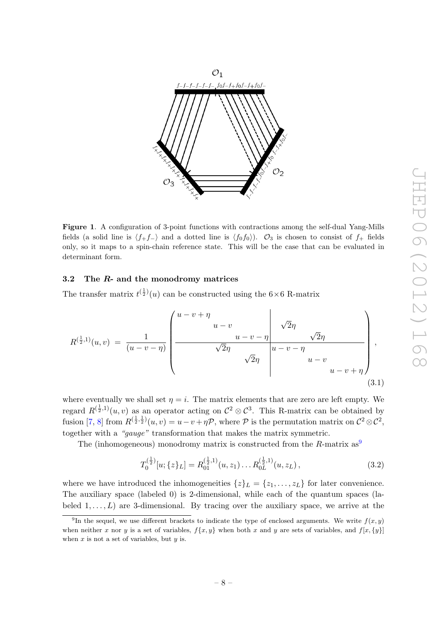

<span id="page-8-1"></span>Figure 1. A configuration of 3-point functions with contractions among the self-dual Yang-Mills fields (a solid line is  $\langle f_+f_-\rangle$  and a dotted line is  $\langle f_0f_0\rangle$ ).  $\mathcal{O}_3$  is chosen to consist of  $f_+$  fields only, so it maps to a spin-chain reference state. This will be the case that can be evaluated in determinant form.

## <span id="page-8-0"></span>3.2 The  $R$ - and the monodromy matrices

The transfer matrix  $t^{\left(\frac{1}{2}\right)}(u)$  can be constructed using the  $6\times 6$  R-matrix

$$
R^{(\frac{1}{2},1)}(u,v) = \frac{1}{(u-v-\eta)} \left( \frac{u-v+\eta}{\sqrt{2\eta}} \frac{u-v-\eta}{\sqrt{2\eta}} \frac{\sqrt{2\eta}}{u-v-\eta} \frac{\sqrt{2\eta}}{u-v+\eta} \right),\tag{3.1}
$$

where eventually we shall set  $\eta = i$ . The matrix elements that are zero are left empty. We regard  $R^{(\frac{1}{2},1)}(u,v)$  as an operator acting on  $\mathcal{C}^2 \otimes \mathcal{C}^3$ . This R-matrix can be obtained by fusion [\[7,](#page-23-4) [8\]](#page-23-12) from  $R^{(\frac{1}{2},\frac{1}{2})}(u,v) = u - v + \eta \mathcal{P}$ , where  $\mathcal P$  is the permutation matrix on  $\mathcal C^2 \otimes \mathcal C^2$ , together with a "gauge" transformation that makes the matrix symmetric.

The (inhomogeneous) monodromy matrix is constructed from the R-matrix  $as^9$  $as^9$ 

<span id="page-8-3"></span>
$$
T_0^{(\frac{1}{2})}[u; \{z\}_L] = R_{01}^{(\frac{1}{2},1)}(u, z_1) \dots R_{0L}^{(\frac{1}{2},1)}(u, z_L), \qquad (3.2)
$$

where we have introduced the inhomogeneities  $\{z\}_L = \{z_1, \ldots, z_L\}$  for later convenience. The auxiliary space (labeled 0) is 2-dimensional, while each of the quantum spaces (labeled  $1, \ldots, L$  are 3-dimensional. By tracing over the auxiliary space, we arrive at the

<span id="page-8-2"></span><sup>&</sup>lt;sup>9</sup>In the sequel, we use different brackets to indicate the type of enclosed arguments. We write  $f(x, y)$ when neither x nor y is a set of variables,  $f\{x, y\}$  when both x and y are sets of variables, and  $f[x, \{y\}]$ when  $x$  is not a set of variables, but  $y$  is.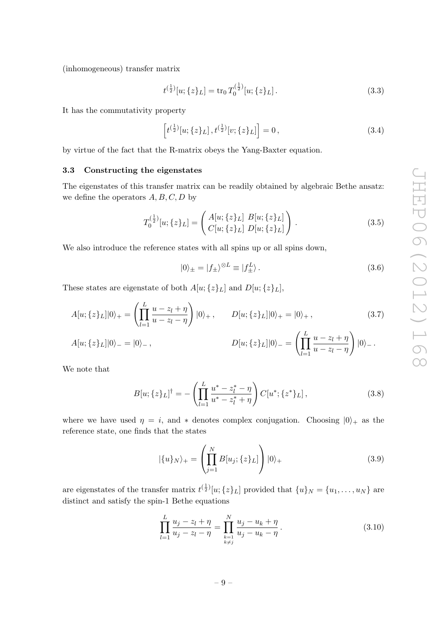(inhomogeneous) transfer matrix

$$
t^{(\frac{1}{2})}[u;\{z\}_L] = \text{tr}_0 T_0^{(\frac{1}{2})}[u;\{z\}_L].
$$
\n(3.3)

It has the commutativity property

$$
\[t^{(\frac{1}{2})}[u;\{z\}_L],t^{(\frac{1}{2})}[v;\{z\}_L]\] = 0, \tag{3.4}
$$

by virtue of the fact that the R-matrix obeys the Yang-Baxter equation.

## <span id="page-9-0"></span>3.3 Constructing the eigenstates

The eigenstates of this transfer matrix can be readily obtained by algebraic Bethe ansatz: we define the operators  $A, B, C, D$  by

$$
T_0^{(\frac{1}{2})}[u; \{z\}_L] = \begin{pmatrix} A[u; \{z\}_L] & B[u; \{z\}_L] \\ C[u; \{z\}_L] & D[u; \{z\}_L] \end{pmatrix} . \tag{3.5}
$$

We also introduce the reference states with all spins up or all spins down,

<span id="page-9-2"></span>
$$
|0\rangle_{\pm} = |f_{\pm}\rangle^{\otimes L} \equiv |f_{\pm}^{L}\rangle. \tag{3.6}
$$

These states are eigenstate of both  $A[u; \{z\}_L]$  and  $D[u; \{z\}_L]$ ,

$$
A[u; \{z\}_L]|0\rangle_+ = \left(\prod_{l=1}^L \frac{u - z_l + \eta}{u - z_l - \eta}\right)|0\rangle_+, \qquad D[u; \{z\}_L]|0\rangle_+ = |0\rangle_+, \tag{3.7}
$$

$$
A[u; \{z\}_L]|0\rangle_{-}=|0\rangle_{-}\,,\qquad D[u; \{z\}_L]|0\rangle_{-}=\left(\prod_{l=1}^L\frac{u-z_l+\eta}{u-z_l-\eta}\right)|0\rangle_{-}\,.
$$

We note that

<span id="page-9-4"></span>
$$
B[u; \{z\}_L]^\dagger = -\left(\prod_{l=1}^L \frac{u^* - z_l^* - \eta}{u^* - z_l^* + \eta}\right) C[u^*; \{z^*\}_L],\tag{3.8}
$$

where we have used  $\eta = i$ , and  $*$  denotes complex conjugation. Choosing  $|0\rangle_+$  as the reference state, one finds that the states

<span id="page-9-1"></span>
$$
|\{u\}_N\rangle_+ = \left(\prod_{j=1}^N B[u_j; \{z\}_L]\right)|0\rangle_+\tag{3.9}
$$

are eigenstates of the transfer matrix  $t^{(\frac{1}{2})}[u;\{z\}_L]$  provided that  $\{u\}_N = \{u_1, \ldots, u_N\}$  are distinct and satisfy the spin-1 Bethe equations

<span id="page-9-3"></span>
$$
\prod_{l=1}^{L} \frac{u_j - z_l + \eta}{u_j - z_l - \eta} = \prod_{\substack{k=1 \ k \neq j}}^{N} \frac{u_j - u_k + \eta}{u_j - u_k - \eta}.
$$
\n(3.10)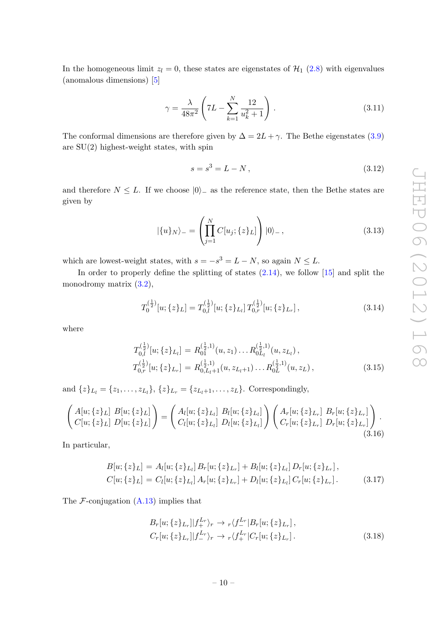In the homogeneous limit  $z_l = 0$ , these states are eigenstates of  $\mathcal{H}_1$  [\(2.8\)](#page-5-4) with eigenvalues (anomalous dimensions) [\[5\]](#page-23-2)

$$
\gamma = \frac{\lambda}{48\pi^2} \left( 7L - \sum_{k=1}^{N} \frac{12}{u_k^2 + 1} \right).
$$
 (3.11)

The conformal dimensions are therefore given by  $\Delta = 2L + \gamma$ . The Bethe eigenstates [\(3.9\)](#page-9-1) are  $SU(2)$  highest-weight states, with spin

$$
s = s^3 = L - N, \t\t(3.12)
$$

and therefore  $N \leq L$ . If we choose  $|0\rangle$  as the reference state, then the Bethe states are given by

$$
|\{u\}_N\rangle_{-} = \left(\prod_{j=1}^N C[u_j; \{z\}_L] \right) |0\rangle_{-},
$$
\n(3.13)

which are lowest-weight states, with  $s = -s^3 = L - N$ , so again  $N \leq L$ .

In order to properly define the splitting of states  $(2.14)$ , we follow  $[15]$  and split the monodromy matrix  $(3.2)$ ,

$$
T_0^{(\frac{1}{2})}[u; \{z\}_L] = T_{0,l}^{(\frac{1}{2})}[u; \{z\}_L] T_{0,r}^{(\frac{1}{2})}[u; \{z\}_L],
$$
\n(3.14)

where

$$
T_{0,l}^{(\frac{1}{2})}[u; \{z\}_{L_l}] = R_{01}^{(\frac{1}{2},1)}(u, z_1) \dots R_{0L_l}^{(\frac{1}{2},1)}(u, z_{L_l}),
$$
  
\n
$$
T_{0,r}^{(\frac{1}{2})}[u; \{z\}_{L_r}] = R_{0,L_l+1}^{(\frac{1}{2},1)}(u, z_{L_l+1}) \dots R_{0L}^{(\frac{1}{2},1)}(u, z_L),
$$
\n(3.15)

and  $\{z\}_{L_l} = \{z_1, \ldots, z_{L_l}\}, \{z\}_{L_r} = \{z_{L_l+1}, \ldots, z_L\}.$  Correspondingly,

$$
\begin{pmatrix}\nA[u; \{z\}_L] & B[u; \{z\}_L] \\
C[u; \{z\}_L] & D[u; \{z\}_L]\n\end{pmatrix} =\n\begin{pmatrix}\nA_l[u; \{z\}_L_l] & B_l[u; \{z\}_L_l] \\
C_l[u; \{z\}_L_l] & D_l[u; \{z\}_L_l]\n\end{pmatrix}\n\begin{pmatrix}\nA_r[u; \{z\}_L_r] & B_r[u; \{z\}_L_r] \\
C_r[u; \{z\}_L_r] & D_r[u; \{z\}_L_r]\n\end{pmatrix}.
$$
\n(3.16)

In particular,

$$
B[u; \{z\}_L] = A_l[u; \{z\}_L] B_r[u; \{z\}_L] + B_l[u; \{z\}_L] D_r[u; \{z\}_L],
$$
  
\n
$$
C[u; \{z\}_L] = C_l[u; \{z\}_L] A_r[u; \{z\}_L] + D_l[u; \{z\}_L] C_r[u; \{z\}_L].
$$
\n(3.17)

The  $\mathcal{F}$ -conjugation  $(A.13)$  implies that

$$
B_r[u; \{z\}_{L_r} || f_+^{L_r} \rangle_r \to \sqrt{f_-^{L_r} | B_r[u; \{z\}_{L_r} ]},
$$
  
\n
$$
C_r[u; \{z\}_{L_r} || f_-^{L_r} \rangle_r \to \sqrt{f_+^{L_r} | C_r[u; \{z\}_{L_r} ]}.
$$
\n(3.18)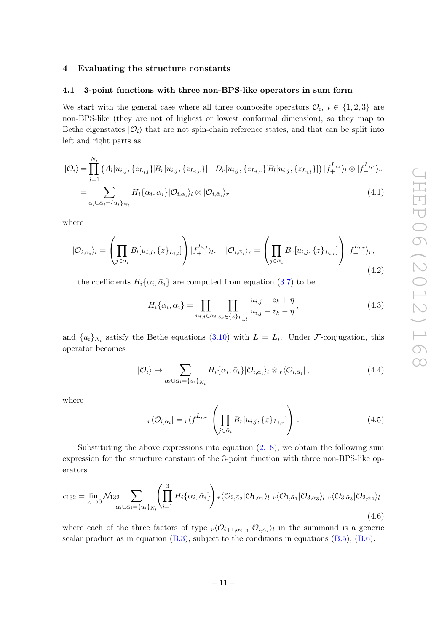#### <span id="page-11-0"></span>4 Evaluating the structure constants

#### <span id="page-11-1"></span>4.1 3-point functions with three non-BPS-like operators in sum form

We start with the general case where all three composite operators  $\mathcal{O}_i$ ,  $i \in \{1,2,3\}$  are non-BPS-like (they are not of highest or lowest conformal dimension), so they map to Bethe eigenstates  $|O_i\rangle$  that are not spin-chain reference states, and that can be split into left and right parts as

<span id="page-11-3"></span>
$$
|O_{i}\rangle = \prod_{j=1}^{N_{i}} \left( A_{l}[u_{i,j}, \{z_{L_{i,l}}\}]B_{r}[u_{i,j}, \{z_{L_{i,r}}\}] + D_{r}[u_{i,j}, \{z_{L_{i,r}}\}]B_{l}[u_{i,j}, \{z_{L_{i,l}}\}]\right) |f_{+}^{L_{i,l}}\rangle_{l} \otimes |f_{+}^{L_{i,r}}\rangle_{r}
$$
  
= 
$$
\sum_{\alpha_{i}\cup\bar{\alpha}_{i}=\{u_{i}\}_{N_{i}}} H_{i}\{\alpha_{i}, \bar{\alpha}_{i}\} |O_{i,\alpha_{i}}\rangle_{l} \otimes |O_{i,\bar{\alpha}_{i}}\rangle_{r}
$$
(4.1)

where

$$
|\mathcal{O}_{i,\alpha_i}\rangle_l = \left(\prod_{j\in\alpha_i} B_l[u_{i,j},\{z\}_{L_{i,l}}]\right)|f_+^{L_{i,l}}\rangle_l, \quad |\mathcal{O}_{i,\bar{\alpha}_i}\rangle_r = \left(\prod_{j\in\bar{\alpha}_i} B_r[u_{i,j},\{z\}_{L_{i,r}}]\right)|f_+^{L_{i,r}}\rangle_r,
$$
\n(4.2)

the coefficients  $H_i\{\alpha_i, \bar{\alpha}_i\}$  are computed from equation [\(3.7\)](#page-9-2) to be

$$
H_i\{\alpha_i, \bar{\alpha}_i\} = \prod_{u_{i,j} \in \alpha_i} \prod_{z_k \in \{z\}_{L_{i,l}}} \frac{u_{i,j} - z_k + \eta}{u_{i,j} - z_k - \eta},
$$
\n(4.3)

and  $\{u_i\}_{N_i}$  satisfy the Bethe equations [\(3.10\)](#page-9-3) with  $L = L_i$ . Under F-conjugation, this operator becomes

<span id="page-11-4"></span>
$$
|O_i\rangle \to \sum_{\alpha_i \cup \bar{\alpha}_i = \{u_i\}_{N_i}} H_i\{\alpha_i, \bar{\alpha}_i\} |O_{i,\alpha_i}\rangle_l \otimes r\langle O_{i,\bar{\alpha}_i}|,
$$
\n(4.4)

where

$$
r\langle \mathcal{O}_{i,\bar{\alpha}_{i}}| = r\langle f_{-}^{L_{i,r}}| \left( \prod_{j \in \bar{\alpha}_{i}} B_{r}[u_{i,j}, \{z\}_{L_{i,r}}] \right) . \tag{4.5}
$$

Substituting the above expressions into equation  $(2.18)$ , we obtain the following sum expression for the structure constant of the 3-point function with three non-BPS-like operators

<span id="page-11-2"></span>
$$
c_{132} = \lim_{z_l \to 0} \mathcal{N}_{132} \sum_{\alpha_i \cup \bar{\alpha}_i = \{u_i\}_{N_i}} \left( \prod_{i=1}^3 H_i \{ \alpha_i, \bar{\alpha}_i \} \right) r \langle \mathcal{O}_{2,\bar{\alpha}_2} | \mathcal{O}_{1,\alpha_1} \rangle_l \ r \langle \mathcal{O}_{1,\bar{\alpha}_1} | \mathcal{O}_{3,\alpha_3} \rangle_l \ r \langle \mathcal{O}_{3,\bar{\alpha}_3} | \mathcal{O}_{2,\alpha_2} \rangle_l \,,
$$
\n
$$
(4.6)
$$

where each of the three factors of type  $r\langle \mathcal{O}_{i+1,\bar{\alpha}_{i+1}} | \mathcal{O}_{i,\alpha_i} \rangle_l$  in the summand is a generic scalar product as in equation  $(B.3)$ , subject to the conditions in equations  $(B.5)$ ,  $(B.6)$ .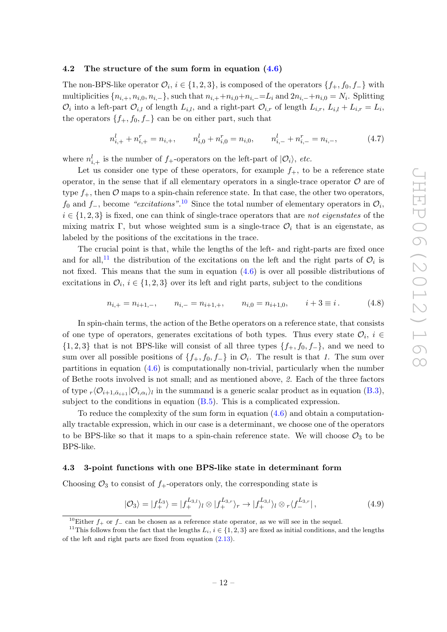#### <span id="page-12-0"></span>4.2 The structure of the sum form in equation  $(4.6)$

The non-BPS-like operator  $\mathcal{O}_i$ ,  $i \in \{1, 2, 3\}$ , is composed of the operators  $\{f_+, f_0, f_-\}$  with multiplicities  $\{n_{i,+}, n_{i,0}, n_{i,-}\}\$ , such that  $n_{i,+}+n_{i,0}+n_{i,-}=L_i$  and  $2n_{i,-}+n_{i,0}=N_i$ . Splitting  $\mathcal{O}_i$  into a left-part  $\mathcal{O}_{i,l}$  of length  $L_{i,l}$ , and a right-part  $\mathcal{O}_{i,r}$  of length  $L_{i,r}$ ,  $L_{i,l} + L_{i,r} = L_i$ , the operators  $\{f_+, f_0, f_-\}$  can be on either part, such that

$$
n_{i,+}^l + n_{i,+}^r = n_{i,+}, \qquad n_{i,0}^l + n_{i,0}^r = n_{i,0}, \qquad n_{i,-}^l + n_{i,-}^r = n_{i,-}, \tag{4.7}
$$

where  $n_{i,+}^l$  is the number of  $f_+$ -operators on the left-part of  $|O_i\rangle$ , etc.

Let us consider one type of these operators, for example  $f_{+}$ , to be a reference state operator, in the sense that if all elementary operators in a single-trace operator  $\mathcal O$  are of type  $f_+$ , then  $\mathcal O$  maps to a spin-chain reference state. In that case, the other two operators,  $f_0$  and  $f_-,$  become "excitations".<sup>[10](#page-12-2)</sup> Since the total number of elementary operators in  $\mathcal{O}_i$ ,  $i \in \{1,2,3\}$  is fixed, one can think of single-trace operators that are not eigenstates of the mixing matrix Γ, but whose weighted sum is a single-trace  $\mathcal{O}_i$  that is an eigenstate, as labeled by the positions of the excitations in the trace.

The crucial point is that, while the lengths of the left- and right-parts are fixed once and for all,<sup>[11](#page-12-3)</sup> the distribution of the excitations on the left and the right parts of  $\mathcal{O}_i$  is not fixed. This means that the sum in equation  $(4.6)$  is over all possible distributions of excitations in  $\mathcal{O}_i$ ,  $i \in \{1, 2, 3\}$  over its left and right parts, subject to the conditions

$$
n_{i,+} = n_{i+1,-}, \qquad n_{i,-} = n_{i+1,+}, \qquad n_{i,0} = n_{i+1,0}, \qquad i+3 \equiv i. \tag{4.8}
$$

In spin-chain terms, the action of the Bethe operators on a reference state, that consists of one type of operators, generates excitations of both types. Thus every state  $\mathcal{O}_i$ ,  $i \in$  $\{1, 2, 3\}$  that is not BPS-like will consist of all three types  $\{f_+, f_0, f_-\}$ , and we need to sum over all possible positions of  $\{f_+, f_0, f_-\}$  in  $\mathcal{O}_i$ . The result is that 1. The sum over partitions in equation  $(4.6)$  is computationally non-trivial, particularly when the number of Bethe roots involved is not small; and as mentioned above, 2. Each of the three factors of type  ${}_r\langle \mathcal{O}_{i+1,\bar{\alpha}_{i+1}} | \mathcal{O}_{i,\alpha_i} \rangle_l$  in the summand is a generic scalar product as in equation [\(B.3\)](#page-18-3), subject to the conditions in equation [\(B.5\)](#page-18-4). This is a complicated expression.

To reduce the complexity of the sum form in equation  $(4.6)$  and obtain a computationally tractable expression, which in our case is a determinant, we choose one of the operators to be BPS-like so that it maps to a spin-chain reference state. We will choose  $\mathcal{O}_3$  to be BPS-like.

#### <span id="page-12-1"></span>4.3 3-point functions with one BPS-like state in determinant form

Choosing  $\mathcal{O}_3$  to consist of  $f_+$ -operators only, the corresponding state is

<span id="page-12-4"></span>
$$
|\mathcal{O}_3\rangle = |f_+^{L_3}\rangle = |f_+^{L_{3,l}}\rangle_l \otimes |f_+^{L_{3,r}}\rangle_r \to |f_+^{L_{3,l}}\rangle_l \otimes_r \langle f_-^{L_{3,r}}| \,, \tag{4.9}
$$

<span id="page-12-3"></span><span id="page-12-2"></span><sup>&</sup>lt;sup>10</sup>Either  $f_+$  or  $f_-$  can be chosen as a reference state operator, as we will see in the sequel.

<sup>&</sup>lt;sup>11</sup>This follows from the fact that the lengths  $L_i$ ,  $i \in \{1, 2, 3\}$  are fixed as initial conditions, and the lengths of the left and right parts are fixed from equation [\(2.13\)](#page-6-4).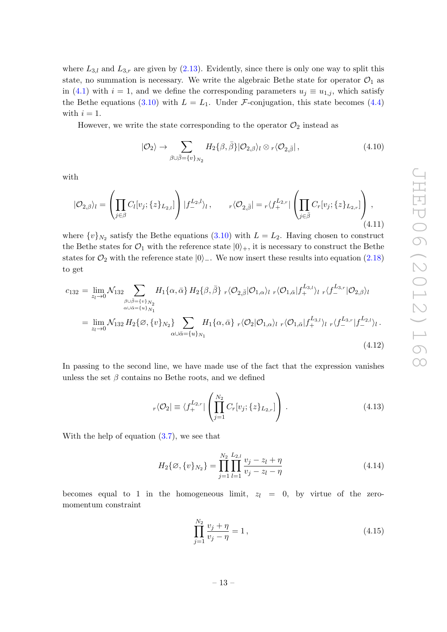where  $L_{3,l}$  and  $L_{3,r}$  are given by [\(2.13\)](#page-6-4). Evidently, since there is only one way to split this state, no summation is necessary. We write the algebraic Bethe state for operator  $\mathcal{O}_1$  as in [\(4.1\)](#page-11-3) with  $i = 1$ , and we define the corresponding parameters  $u_j \equiv u_{1,j}$ , which satisfy the Bethe equations [\(3.10\)](#page-9-3) with  $L = L_1$ . Under *F*-conjugation, this state becomes [\(4.4\)](#page-11-4) with  $i = 1$ .

However, we write the state corresponding to the operator  $\mathcal{O}_2$  instead as

$$
|O_2\rangle \to \sum_{\beta \cup \overline{\beta} = \{v\}_{N_2}} H_2\{\beta, \overline{\beta}\} |O_{2,\beta}\rangle_l \otimes_r \langle O_{2,\overline{\beta}}| \,, \tag{4.10}
$$

with

$$
|O_{2,\beta}\rangle_l = \left(\prod_{j\in\beta} C_l[v_j; \{z\}_{L_{2,l}}]\right)|f_-^{L_{2,l}}\rangle_l, \qquad r\langle O_{2,\bar{\beta}}| = r\langle f_+^{L_{2,r}}|\left(\prod_{j\in\bar{\beta}} C_r[v_j; \{z\}_{L_{2,r}}]\right), \tag{4.11}
$$

where  $\{v\}_{N_2}$  satisfy the Bethe equations  $(3.10)$  with  $L = L_2$ . Having chosen to construct the Bethe states for  $\mathcal{O}_1$  with the reference state  $|0\rangle_+$ , it is necessary to construct the Bethe states for  $\mathcal{O}_2$  with the reference state  $|0\rangle$ . We now insert these results into equation [\(2.18\)](#page-7-3) to get

<span id="page-13-0"></span>
$$
c_{132} = \lim_{z_l \to 0} \mathcal{N}_{132} \sum_{\substack{\beta \cup \bar{\beta} = \{v\}_{N_2} \\ \alpha \cup \bar{\alpha} = \{u\}_{N_1}}} H_1\{\alpha, \bar{\alpha}\} H_2\{\beta, \bar{\beta}\} r\langle \mathcal{O}_{2, \bar{\beta}} | \mathcal{O}_{1, \alpha} \rangle_l r\langle \mathcal{O}_{1, \bar{\alpha}} | f_+^{L_{3, l}} \rangle_l r\langle f_-^{L_{3, r}} | \mathcal{O}_{2, \beta} \rangle_l
$$
  
\n
$$
= \lim_{z_l \to 0} \mathcal{N}_{132} H_2\{\emptyset, \{v\}_{N_2}\} \sum_{\alpha \cup \bar{\alpha} = \{u\}_{N_1}} H_1\{\alpha, \bar{\alpha}\} r\langle \mathcal{O}_2 | \mathcal{O}_{1, \alpha} \rangle_l r\langle \mathcal{O}_{1, \bar{\alpha}} | f_+^{L_{3, l}} \rangle_l r\langle f_-^{L_{3, r}} | f_-^{L_{2, l}} \rangle_l .
$$
\n(4.12)

In passing to the second line, we have made use of the fact that the expression vanishes unless the set  $\beta$  contains no Bethe roots, and we defined

$$
r\langle \mathcal{O}_2 | \equiv \langle f_+^{L_{2,r}} | \left( \prod_{j=1}^{N_2} C_r[v_j; \{z\}_{L_{2,r}}] \right) . \tag{4.13}
$$

With the help of equation [\(3.7\)](#page-9-2), we see that

$$
H_2\{\varnothing,\{v\}_{N_2}\} = \prod_{j=1}^{N_2} \prod_{l=1}^{L_{2,l}} \frac{v_j - z_l + \eta}{v_j - z_l - \eta}
$$
(4.14)

becomes equal to 1 in the homogeneous limit,  $z_l = 0$ , by virtue of the zeromomentum constraint

$$
\prod_{j=1}^{N_2} \frac{v_j + \eta}{v_j - \eta} = 1,
$$
\n(4.15)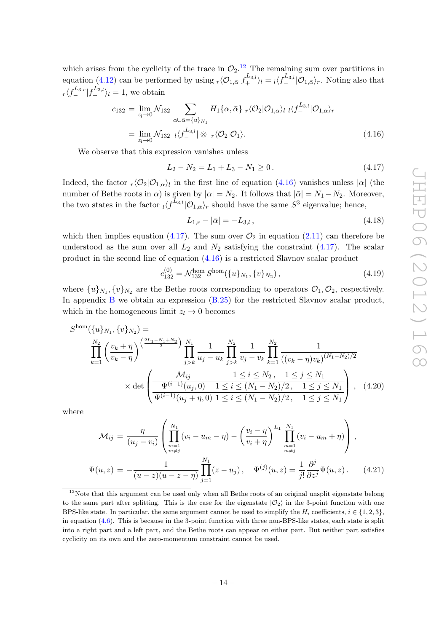which arises from the cyclicity of the trace in  $\mathcal{O}_2$ .<sup>[12](#page-14-0)</sup> The remaining sum over partitions in equation [\(4.12\)](#page-13-0) can be performed by using  $_r\langle \mathcal{O}_{1,\bar{\alpha}}|f_{+}^{L_{3,l}}\rangle_l = \iota\langle f_{-}^{L_{3,l}}|\mathcal{O}_{1,\bar{\alpha}}\rangle_r$ . Noting also that  $r\langle f_-^{L_{3,r}}|f_-^{L_{2,l}}\rangle_l = 1$ , we obtain

<span id="page-14-1"></span>
$$
c_{132} = \lim_{z_l \to 0} \mathcal{N}_{132} \sum_{\alpha \cup \overline{\alpha} = \{u\}_{N_1}} H_1\{\alpha, \overline{\alpha}\} \, r \langle \mathcal{O}_2 | \mathcal{O}_{1,\alpha} \rangle_l \, \, l \langle f_{-}^{L_{3,l}} | \mathcal{O}_{1,\overline{\alpha}} \rangle_r
$$
  
= 
$$
\lim_{z_l \to 0} \mathcal{N}_{132} \, \, l \langle f_{-}^{L_{3,l}} | \otimes \, r \langle \mathcal{O}_2 | \mathcal{O}_1 \rangle.
$$
 (4.16)

We observe that this expression vanishes unless

<span id="page-14-2"></span>
$$
L_2 - N_2 = L_1 + L_3 - N_1 \ge 0. \tag{4.17}
$$

Indeed, the factor  $_r\langle\mathcal{O}_2|\mathcal{O}_{1,\alpha}\rangle_l$  in the first line of equation [\(4.16\)](#page-14-1) vanishes unless  $|\alpha|$  (the number of Bethe roots in  $\alpha$ ) is given by  $|\alpha| = N_2$ . It follows that  $|\bar{\alpha}| = N_1 - N_2$ . Moreover, the two states in the factor  $\frac{1}{\sqrt{2}}\sum_{i=1}^{L_3} |\mathcal{O}_{1,\bar{\alpha}}\rangle_r$  should have the same  $S^3$  eigenvalue; hence,

$$
L_{1,r} - |\bar{\alpha}| = -L_{3,l},\tag{4.18}
$$

which then implies equation [\(4.17\)](#page-14-2). The sum over  $\mathcal{O}_2$  in equation [\(2.11\)](#page-6-5) can therefore be understood as the sum over all  $L_2$  and  $N_2$  satisfying the constraint [\(4.17\)](#page-14-2). The scalar product in the second line of equation [\(4.16\)](#page-14-1) is a restricted Slavnov scalar product

<span id="page-14-3"></span>
$$
c_{132}^{(0)} = \mathcal{N}_{132}^{\text{hom}} S^{\text{hom}}(\{u\}_{N_1}, \{v\}_{N_2}), \tag{4.19}
$$

where  $\{u\}_{N_1}, \{v\}_{N_2}$  are the Bethe roots corresponding to operators  $\mathcal{O}_1, \mathcal{O}_2$ , respectively. In appendix  $\overline{B}$  $\overline{B}$  $\overline{B}$  we obtain an expression  $(B.25)$  for the restricted Slavnov scalar product, which in the homogeneous limit  $z_l \to 0$  becomes

$$
S^{\text{hom}}(\{u\}_{N_1}, \{v\}_{N_2}) =
$$
\n
$$
\prod_{k=1}^{N_2} \left(\frac{v_k + \eta}{v_k - \eta}\right)^{\left(\frac{2L_1 - N_1 + N_2}{2}\right)} \prod_{j > k}^{N_1} \frac{1}{u_j - u_k} \prod_{j > k}^{N_2} \frac{1}{v_j - v_k} \prod_{k=1}^{N_2} \frac{1}{((v_k - \eta)v_k)^{(N_1 - N_2)/2}}
$$
\n
$$
\times \det \left(\frac{\mathcal{M}_{ij}}{\Psi^{(i-1)}(u_j, 0)} \frac{1 \le i \le N_2, \quad 1 \le j \le N_1}{1 \le j \le N_1}\right), \quad (4.20)
$$

where

$$
\mathcal{M}_{ij} = \frac{\eta}{(u_j - v_i)} \left( \prod_{\substack{m=1 \ n \neq j}}^{N_1} (v_i - u_m - \eta) - \left( \frac{v_i - \eta}{v_i + \eta} \right)^{L_1} \prod_{\substack{m=1 \ n \neq j}}^{N_1} (v_i - u_m + \eta) \right),
$$
  

$$
\Psi(u, z) = -\frac{1}{(u - z)(u - z - \eta)} \prod_{j=1}^{N_1} (z - u_j), \quad \Psi^{(j)}(u, z) = \frac{1}{j!} \frac{\partial^j}{\partial z^j} \Psi(u, z).
$$
 (4.21)

<span id="page-14-0"></span><sup>&</sup>lt;sup>12</sup>Note that this argument can be used only when all Bethe roots of an original unsplit eigenstate belong to the same part after splitting. This is the case for the eigenstate  $|O_2\rangle$  in the 3-point function with one BPS-like state. In particular, the same argument cannot be used to simplify the  $H_i$  coefficients,  $i \in \{1, 2, 3\}$ , in equation [\(4.6\)](#page-11-2). This is because in the 3-point function with three non-BPS-like states, each state is split into a right part and a left part, and the Bethe roots can appear on either part. But neither part satisfies cyclicity on its own and the zero-momentum constraint cannot be used.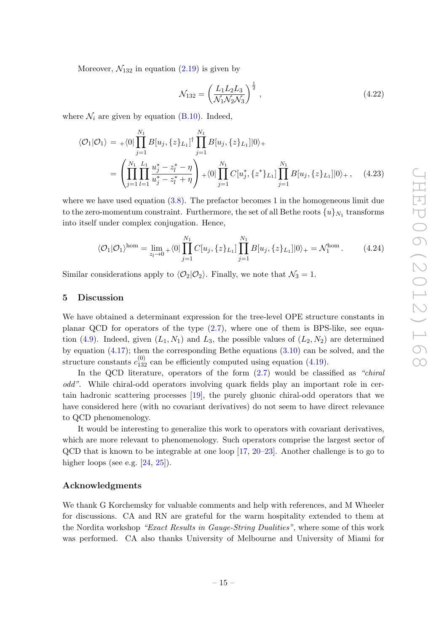Moreover,  $\mathcal{N}_{132}$  in equation [\(2.19\)](#page-7-4) is given by

$$
\mathcal{N}_{132} = \left(\frac{L_1 L_2 L_3}{\mathcal{N}_1 \mathcal{N}_2 \mathcal{N}_3}\right)^{\frac{1}{2}},\tag{4.22}
$$

where  $\mathcal{N}_i$  are given by equation [\(B.10\)](#page-19-1). Indeed,

$$
\langle \mathcal{O}_1 | \mathcal{O}_1 \rangle = + \langle 0 | \prod_{j=1}^{N_1} B[u_j, \{z\}_{L_1}]^\dagger \prod_{j=1}^{N_1} B[u_j, \{z\}_{L_1}] |0\rangle +
$$
  
= 
$$
\left( \prod_{j=1}^{N_1} \prod_{l=1}^{L_1} \frac{u_j^* - z_l^* - \eta}{u_j^* - z_l^* + \eta} \right) + \langle 0 | \prod_{j=1}^{N_1} C[u_j^*, \{z^*\}_{L_1}] \prod_{j=1}^{N_1} B[u_j, \{z\}_{L_1}] |0\rangle_+, \quad (4.23)
$$

where we have used equation  $(3.8)$ . The prefactor becomes 1 in the homogeneous limit due to the zero-momentum constraint. Furthermore, the set of all Bethe roots  $\{u\}_{N_1}$  transforms into itself under complex conjugation. Hence,

$$
\langle \mathcal{O}_1 | \mathcal{O}_1 \rangle^{\text{hom}} = \lim_{z_l \to 0} \sqrt{|O|} \prod_{j=1}^{N_1} C[u_j, \{z\}_{L_1}] \prod_{j=1}^{N_1} B[u_j, \{z\}_{L_1}] |0\rangle_+ = \mathcal{N}_1^{\text{hom}}.
$$
 (4.24)

Similar considerations apply to  $\langle \mathcal{O}_2 | \mathcal{O}_2 \rangle$ . Finally, we note that  $\mathcal{N}_3 = 1$ .

#### <span id="page-15-0"></span>5 Discussion

We have obtained a determinant expression for the tree-level OPE structure constants in planar QCD for operators of the type  $(2.7)$ , where one of them is BPS-like, see equa-tion [\(4.9\)](#page-12-4). Indeed, given  $(L_1, N_1)$  and  $L_3$ , the possible values of  $(L_2, N_2)$  are determined by equation  $(4.17)$ ; then the corresponding Bethe equations  $(3.10)$  can be solved, and the structure constants  $c_{132}^{(0)}$  can be efficiently computed using equation [\(4.19\)](#page-14-3).

In the QCD literature, operators of the form  $(2.7)$  would be classified as "*chiral*" odd". While chiral-odd operators involving quark fields play an important role in certain hadronic scattering processes [\[19\]](#page-23-13), the purely gluonic chiral-odd operators that we have considered here (with no covariant derivatives) do not seem to have direct relevance to QCD phenomenology.

It would be interesting to generalize this work to operators with covariant derivatives, which are more relevant to phenomenology. Such operators comprise the largest sector of QCD that is known to be integrable at one loop [\[17,](#page-23-10) [20–](#page-23-14)[23\]](#page-24-0). Another challenge is to go to higher loops (see e.g.  $[24, 25]$  $[24, 25]$ ).

#### Acknowledgments

We thank G Korchemsky for valuable comments and help with references, and M Wheeler for discussions. CA and RN are grateful for the warm hospitality extended to them at the Nordita workshop "Exact Results in Gauge-String Dualities", where some of this work was performed. CA also thanks University of Melbourne and University of Miami for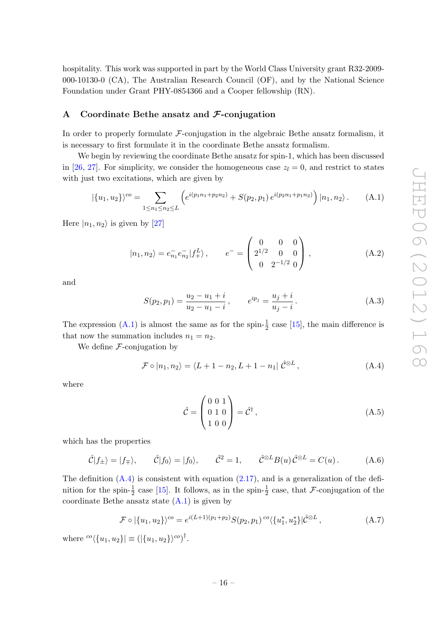hospitality. This work was supported in part by the World Class University grant R32-2009- 000-10130-0 (CA), The Australian Research Council (OF), and by the National Science Foundation under Grant PHY-0854366 and a Cooper fellowship (RN).

#### <span id="page-16-0"></span>A Coordinate Bethe ansatz and  $\mathcal{F}\text{-conjugation}$

In order to properly formulate  $\mathcal{F}\text{-conjugation}$  in the algebraic Bethe ansatz formalism, it is necessary to first formulate it in the coordinate Bethe ansatz formalism.

We begin by reviewing the coordinate Bethe ansatz for spin-1, which has been discussed in [\[26,](#page-24-3) [27\]](#page-24-4). For simplicity, we consider the homogeneous case  $z<sub>l</sub> = 0$ , and restrict to states with just two excitations, which are given by

<span id="page-16-1"></span>
$$
|\{u_1, u_2\}\rangle^{co} = \sum_{1 \le n_1 \le n_2 \le L} \left( e^{i(p_1 n_1 + p_2 n_2)} + S(p_2, p_1) e^{i(p_2 n_1 + p_1 n_2)} \right) |n_1, n_2\rangle. \tag{A.1}
$$

Here  $|n_1, n_2\rangle$  is given by [\[27\]](#page-24-4)

$$
|n_1, n_2\rangle = e_{n_1}^- e_{n_2}^- |f_+^L\rangle, \qquad e^- = \begin{pmatrix} 0 & 0 & 0 \\ 2^{1/2} & 0 & 0 \\ 0 & 2^{-1/2} & 0 \end{pmatrix}, \tag{A.2}
$$

and

<span id="page-16-4"></span>
$$
S(p_2, p_1) = \frac{u_2 - u_1 + i}{u_2 - u_1 - i}, \qquad e^{ip_j} = \frac{u_j + i}{u_j - i}.
$$
 (A.3)

The expression  $(A.1)$  is almost the same as for the spin- $\frac{1}{2}$  case [\[15\]](#page-23-8), the main difference is that now the summation includes  $n_1 = n_2$ .

We define  $F$ -conjugation by

<span id="page-16-2"></span>
$$
\mathcal{F} \circ |n_1, n_2\rangle = \langle L+1-n_2, L+1-n_1| \hat{\mathcal{C}}^{\otimes L}, \qquad (A.4)
$$

where

$$
\hat{\mathcal{C}} = \begin{pmatrix} 0 & 0 & 1 \\ 0 & 1 & 0 \\ 1 & 0 & 0 \end{pmatrix} = \hat{\mathcal{C}}^{\dagger}, \tag{A.5}
$$

which has the properties

$$
\hat{C}|f_{\pm}\rangle = |f_{\mp}\rangle
$$
,  $\hat{C}|f_0\rangle = |f_0\rangle$ ,  $\hat{C}^2 = 1$ ,  $\hat{C}^{\otimes L}B(u)\hat{C}^{\otimes L} = C(u)$ . (A.6)

The definition  $(A.4)$  is consistent with equation  $(2.17)$ , and is a generalization of the definition for the spin- $\frac{1}{2}$  case [\[15\]](#page-23-8). It follows, as in the spin- $\frac{1}{2}$  case, that F-conjugation of the coordinate Bethe ansatz state  $(A.1)$  is given by

<span id="page-16-3"></span>
$$
\mathcal{F} \circ \left| \{ u_1, u_2 \} \right\rangle^{co} = e^{i(L+1)(p_1+p_2)} S(p_2, p_1) {^{co}} \langle \{ u_1^*, u_2^* \} | \hat{\mathcal{C}}^{\otimes L} ,
$$
\n(A.7)

where  ${}^{co}\langle \{u_1, u_2\} \rangle \equiv (|\{u_1, u_2\}\rangle^{\text{co}})^{\dagger}$ .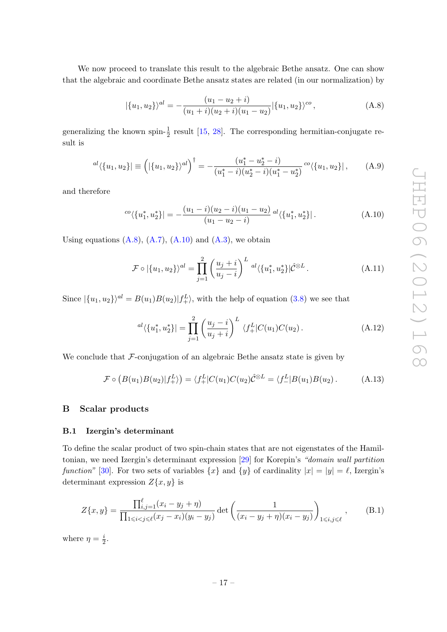We now proceed to translate this result to the algebraic Bethe ansatz. One can show that the algebraic and coordinate Bethe ansatz states are related (in our normalization) by

<span id="page-17-3"></span>
$$
|\{u_1, u_2\}\rangle^{al} = -\frac{(u_1 - u_2 + i)}{(u_1 + i)(u_2 + i)(u_1 - u_2)} |\{u_1, u_2\}\rangle^{co}, \tag{A.8}
$$

generalizing the known spin- $\frac{1}{2}$  result [\[15,](#page-23-8) [28\]](#page-24-5). The corresponding hermitian-conjugate result is

$$
^{al}\langle \{u_1, u_2\} \vert \equiv \left( \vert \{u_1, u_2\} \rangle^{al} \right)^{\dagger} = -\frac{(u_1^* - u_2^* - i)}{(u_1^* - i)(u_2^* - i)(u_1^* - u_2^*)} \circ \langle \{u_1, u_2\} \vert, \qquad (A.9)
$$

and therefore

<span id="page-17-4"></span>
$$
{}^{co}\langle \{u_1^*, u_2^*\}\vert = -\frac{(u_1 - i)(u_2 - i)(u_1 - u_2)}{(u_1 - u_2 - i)} \,{}^{al}\langle \{u_1^*, u_2^*\}\vert \,. \tag{A.10}
$$

Using equations  $(A.8)$ ,  $(A.7)$ ,  $(A.10)$  and  $(A.3)$ , we obtain

$$
\mathcal{F} \circ |\{u_1, u_2\}\rangle^{al} = \prod_{j=1}^{2} \left(\frac{u_j + i}{u_j - i}\right)^L a! \langle \{u_1^*, u_2^*\}\rangle \hat{\mathcal{C}}^{\otimes L}.
$$
 (A.11)

Since  $|\{u_1, u_2\}\rangle^{al} = B(u_1)B(u_2)|f_{+}^L\rangle$ , with the help of equation [\(3.8\)](#page-9-4) we see that

$$
^{al}\langle \{u_1^*, u_2^*\}\rangle = \prod_{j=1}^2 \left(\frac{u_j - i}{u_j + i}\right)^L \langle f_+^L|C(u_1)C(u_2).
$$
 (A.12)

We conclude that  $\mathcal F$ -conjugation of an algebraic Bethe ansatz state is given by

<span id="page-17-2"></span>
$$
\mathcal{F} \circ (B(u_1)B(u_2)|f_+^L\rangle) = \langle f_+^L|C(u_1)C(u_2)\hat{C}^{\otimes L} = \langle f_-^L|B(u_1)B(u_2).
$$
 (A.13)

# <span id="page-17-0"></span>B Scalar products

#### <span id="page-17-1"></span>B.1 Izergin's determinant

To define the scalar product of two spin-chain states that are not eigenstates of the Hamiltonian, we need Izergin's determinant expression [\[29\]](#page-24-6) for Korepin's "domain wall partition function" [\[30\]](#page-24-7). For two sets of variables  $\{x\}$  and  $\{y\}$  of cardinality  $|x| = |y| = \ell$ , Izergin's determinant expression  $Z\{x, y\}$  is

$$
Z\{x,y\} = \frac{\prod_{i,j=1}^{\ell} (x_i - y_j + \eta)}{\prod_{1 \le i < j \le \ell} (x_j - x_i)(y_i - y_j)} \det \left( \frac{1}{(x_i - y_j + \eta)(x_i - y_j)} \right)_{1 \le i,j \le \ell}, \quad (B.1)
$$

where  $\eta = \frac{i}{2}$  $\frac{\imath}{2}$ .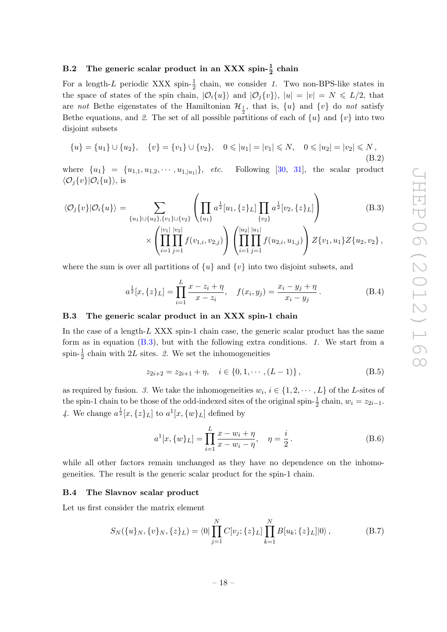# <span id="page-18-0"></span>B.2 The generic scalar product in an XXX spin- $\frac{1}{2}$  chain

For a length-L periodic XXX spin- $\frac{1}{2}$  chain, we consider 1. Two non-BPS-like states in the space of states of the spin chain,  $|O_i\{u\}\rangle$  and  $|O_j\{v\}\rangle$ ,  $|u| = |v| = N \le L/2$ , that are not Bethe eigenstates of the Hamiltonian  $\mathcal{H}_1$ , that is,  $\{u\}$  and  $\{v\}$  do not satisfy Bethe equations, and 2. The set of all possible partitions of each of  $\{u\}$  and  $\{v\}$  into two disjoint subsets

$$
\{u\} = \{u_1\} \cup \{u_2\}, \quad \{v\} = \{v_1\} \cup \{v_2\}, \quad 0 \le |u_1| = |v_1| \le N, \quad 0 \le |u_2| = |v_2| \le N,
$$
\n(B.2)

where  ${u_1} = {u_{1,1}, u_{1,2}, \cdots, u_{1,|u_1|}}, etc.$  Following [\[30,](#page-24-7) [31\]](#page-24-8), the scalar product  $\langle \mathcal{O}_i\{v\}|\mathcal{O}_i\{u\}\rangle$ , is

<span id="page-18-3"></span>
$$
\langle \mathcal{O}_j\{v\} | \mathcal{O}_i\{u\} \rangle = \sum_{\{u_1\} \cup \{u_2\}, \{v_1\} \cup \{v_2\}} \left( \prod_{\{u_1\}} a^{\frac{1}{2}} [u_1, \{z\}_L] \prod_{\{v_2\}} a^{\frac{1}{2}} [v_2, \{z\}_L] \right)
$$
(B.3)

$$
\times \left( \prod_{i=1}^{|v_1|} \prod_{j=1}^{|v_2|} f(v_{1,i}, v_{2,j}) \right) \left( \prod_{i=1}^{|u_2|} \prod_{j=1}^{|u_1|} f(u_{2,i}, u_{1,j}) \right) Z\{v_1, u_1\} Z\{u_2, v_2\},
$$

where the sum is over all partitions of  $\{u\}$  and  $\{v\}$  into two disjoint subsets, and

$$
a^{\frac{1}{2}}[x,\{z\}_L] = \prod_{i=1}^L \frac{x - z_i + \eta}{x - z_i}, \quad f(x_i, y_j) = \frac{x_i - y_j + \eta}{x_i - y_j}.
$$
 (B.4)

## <span id="page-18-1"></span>B.3 The generic scalar product in an XXX spin-1 chain

In the case of a length-L XXX spin-1 chain case, the generic scalar product has the same form as in equation  $(B.3)$ , but with the following extra conditions. 1. We start from a spin- $\frac{1}{2}$  chain with 2L sites. 2. We set the inhomogeneities

<span id="page-18-4"></span>
$$
z_{2i+2} = z_{2i+1} + \eta, \quad i \in \{0, 1, \cdots, (L-1)\},
$$
 (B.5)

as required by fusion. 3. We take the inhomogeneities  $w_i, i \in \{1, 2, \dots, L\}$  of the L-sites of the spin-1 chain to be those of the odd-indexed sites of the original spin- $\frac{1}{2}$  chain,  $w_i = z_{2i-1}$ . 4. We change  $a^{\frac{1}{2}}[x,\{z\}_L]$  to  $a^1[x,\{w\}_L]$  defined by

<span id="page-18-5"></span>
$$
a^{1}[x,\{w\}_{L}] = \prod_{i=1}^{L} \frac{x - w_{i} + \eta}{x - w_{i} - \eta}, \quad \eta = \frac{i}{2}.
$$
 (B.6)

while all other factors remain unchanged as they have no dependence on the inhomogeneities. The result is the generic scalar product for the spin-1 chain.

#### <span id="page-18-2"></span>B.4 The Slavnov scalar product

Let us first consider the matrix element

<span id="page-18-6"></span>
$$
S_N(\{u\}_N, \{v\}_N, \{z\}_L) = \langle 0|\prod_{j=1}^N C[v_j; \{z\}_L] \prod_{k=1}^N B[u_k; \{z\}_L]|0\rangle, \tag{B.7}
$$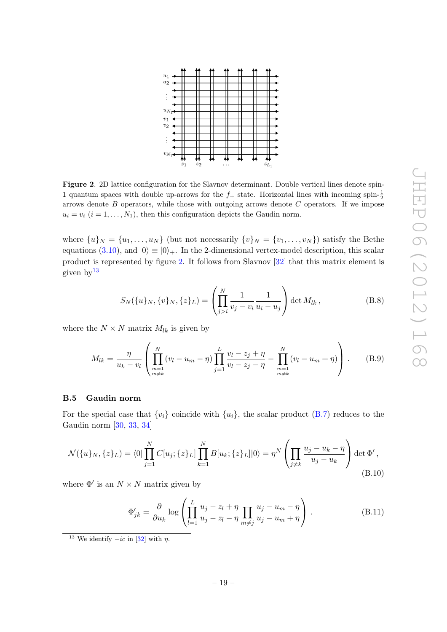

<span id="page-19-2"></span>Figure 2. 2D lattice configuration for the Slavnov determinant. Double vertical lines denote spin-1 quantum spaces with double up-arrows for the  $f_+$  state. Horizontal lines with incoming spin- $\frac{1}{2}$ arrows denote  $B$  operators, while those with outgoing arrows denote  $C$  operators. If we impose  $u_i = v_i$   $(i = 1, ..., N_1)$ , then this configuration depicts the Gaudin norm.

where  $\{u\}_N = \{u_1, \ldots, u_N\}$  (but not necessarily  $\{v\}_N = \{v_1, \ldots, v_N\}$ ) satisfy the Bethe equations [\(3.10\)](#page-9-3), and  $|0\rangle \equiv |0\rangle_+$ . In the 2-dimensional vertex-model description, this scalar product is represented by figure [2.](#page-19-2) It follows from Slavnov [\[32\]](#page-24-9) that this matrix element is given by  $13$ 

$$
S_N(\{u\}_N, \{v\}_N, \{z\}_L) = \left(\prod_{j>i}^N \frac{1}{v_j - v_i} \frac{1}{u_i - u_j}\right) \det M_{lk},
$$
 (B.8)

where the  $N \times N$  matrix  $M_{lk}$  is given by

<span id="page-19-4"></span>
$$
M_{lk} = \frac{\eta}{u_k - v_l} \left( \prod_{\substack{m=1 \ m \neq k}}^N (v_l - u_m - \eta) \prod_{j=1}^L \frac{v_l - z_j + \eta}{v_l - z_j - \eta} - \prod_{\substack{m=1 \ m \neq k}}^N (v_l - u_m + \eta) \right).
$$
 (B.9)

#### <span id="page-19-0"></span>B.5 Gaudin norm

For the special case that  $\{v_i\}$  coincide with  $\{u_i\}$ , the scalar product [\(B.7\)](#page-18-6) reduces to the Gaudin norm [\[30,](#page-24-7) [33,](#page-24-10) [34\]](#page-24-11)

<span id="page-19-1"></span>
$$
\mathcal{N}(\{u\}_N, \{z\}_L) = \langle 0 | \prod_{j=1}^N C[u_j; \{z\}_L] \prod_{k=1}^N B[u_k; \{z\}_L] |0\rangle = \eta^N \left( \prod_{j \neq k} \frac{u_j - u_k - \eta}{u_j - u_k} \right) \det \Phi',
$$
\n(B.10)

where  $\Phi'$  is an  $N \times N$  matrix given by

$$
\Phi'_{jk} = \frac{\partial}{\partial u_k} \log \left( \prod_{l=1}^L \frac{u_j - z_l + \eta}{u_j - z_l - \eta} \prod_{m \neq j} \frac{u_j - u_m - \eta}{u_j - u_m + \eta} \right). \tag{B.11}
$$

<span id="page-19-3"></span><sup>13</sup> We identify  $-i\epsilon$  in [\[32\]](#page-24-9) with  $\eta$ .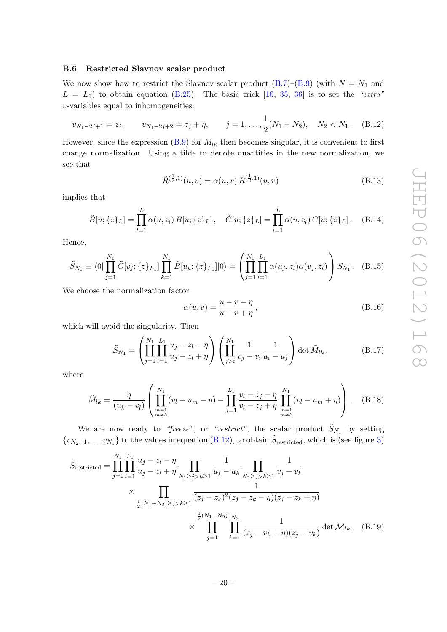#### <span id="page-20-0"></span>B.6 Restricted Slavnov scalar product

We now show how to restrict the Slavnov scalar product  $(B.7)$ – $(B.9)$  (with  $N = N_1$  and  $L = L_1$ ) to obtain equation [\(B.25\)](#page-22-1). The basic trick [\[16,](#page-23-9) [35,](#page-24-12) [36\]](#page-24-13) is to set the "extra" v-variables equal to inhomogeneities:

<span id="page-20-1"></span>
$$
v_{N_1-2j+1} = z_j, \qquad v_{N_1-2j+2} = z_j + \eta, \qquad j = 1, \dots, \frac{1}{2}(N_1 - N_2), \quad N_2 < N_1. \tag{B.12}
$$

However, since the expression  $(B.9)$  for  $M_{lk}$  then becomes singular, it is convenient to first change normalization. Using a tilde to denote quantities in the new normalization, we see that

$$
\tilde{R}^{(\frac{1}{2},1)}(u,v) = \alpha(u,v) R^{(\frac{1}{2},1)}(u,v)
$$
\n(B.13)

implies that

<span id="page-20-3"></span>
$$
\tilde{B}[u; \{z\}_L] = \prod_{l=1}^L \alpha(u, z_l) B[u; \{z\}_L], \quad \tilde{C}[u; \{z\}_L] = \prod_{l=1}^L \alpha(u, z_l) C[u; \{z\}_L]. \quad (B.14)
$$

Hence,

$$
\tilde{S}_{N_1} \equiv \langle 0 | \prod_{j=1}^{N_1} \tilde{C}[v_j; \{z\}_{L_1}] \prod_{k=1}^{N_1} \tilde{B}[u_k; \{z\}_{L_1}] |0\rangle = \left( \prod_{j=1}^{N_1} \prod_{l=1}^{L_1} \alpha(u_j, z_l) \alpha(v_j, z_l) \right) S_{N_1}.
$$
 (B.15)

We choose the normalization factor

$$
\alpha(u,v) = \frac{u - v - \eta}{u - v + \eta},\tag{B.16}
$$

which will avoid the singularity. Then

$$
\tilde{S}_{N_1} = \left( \prod_{j=1}^{N_1} \prod_{l=1}^{L_1} \frac{u_j - z_l - \eta}{u_j - z_l + \eta} \right) \left( \prod_{j>i}^{N_1} \frac{1}{v_j - v_i} \frac{1}{u_i - u_j} \right) \det \tilde{M}_{lk}, \tag{B.17}
$$

where

<span id="page-20-2"></span>
$$
\tilde{M}_{lk} = \frac{\eta}{(u_k - v_l)} \left( \prod_{\substack{m=1 \ m \neq k}}^{N_1} (v_l - u_m - \eta) - \prod_{j=1}^{L_1} \frac{v_l - z_j - \eta}{v_l - z_j + \eta} \prod_{\substack{m=1 \ m \neq k}}^{N_1} (v_l - u_m + \eta) \right).
$$
 (B.18)

We are now ready to "freeze", or "restrict", the scalar product  $\tilde{S}_{N_1}$  by setting  $\{v_{N_2+1},\ldots,v_{N_1}\}\)$  to the values in equation [\(B.12\)](#page-20-1), to obtain  $\tilde{S}_{\text{restricted}}$ , which is (see figure [3\)](#page-21-0)

$$
\tilde{S}_{\text{restricted}} = \prod_{j=1}^{N_1} \prod_{l=1}^{L_1} \frac{u_j - z_l - \eta}{u_j - z_l + \eta} \prod_{N_1 \ge j > k \ge 1} \frac{1}{u_j - u_k} \prod_{N_2 \ge j > k \ge 1} \frac{1}{v_j - v_k}
$$
\n
$$
\times \prod_{\substack{\frac{1}{2}(N_1 - N_2) \ge j > k \ge 1 \\ \frac{1}{2}(N_1 - N_2) \ge j > k}} \frac{1}{(z_j - z_k)^2 (z_j - z_k - \eta)(z_j - z_k + \eta)}
$$
\n
$$
\times \prod_{j=1}^{\frac{1}{2}(N_1 - N_2)} \prod_{k=1}^{N_2} \frac{1}{(z_j - v_k + \eta)(z_j - v_k)} \det \mathcal{M}_{lk}, \quad \text{(B.19)}
$$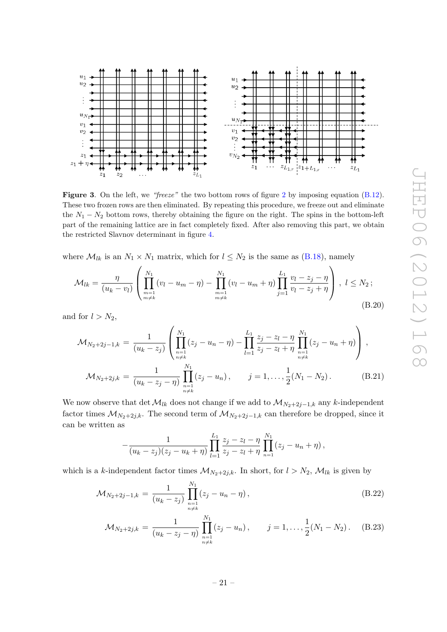

<span id="page-21-0"></span>**Figure 3.** On the left, we "freeze" the two bottom rows of figure [2](#page-19-2) by imposing equation  $(B.12)$ . These two frozen rows are then eliminated. By repeating this procedure, we freeze out and eliminate the  $N_1 - N_2$  bottom rows, thereby obtaining the figure on the right. The spins in the bottom-left part of the remaining lattice are in fact completely fixed. After also removing this part, we obtain the restricted Slavnov determinant in figure [4.](#page-22-2)

where  $\mathcal{M}_{lk}$  is an  $N_1 \times N_1$  matrix, which for  $l \leq N_2$  is the same as [\(B.18\)](#page-20-2), namely

$$
\mathcal{M}_{lk} = \frac{\eta}{(u_k - v_l)} \left( \prod_{\substack{m=1 \ m \neq k}}^{N_1} (v_l - u_m - \eta) - \prod_{\substack{m=1 \ m \neq k}}^{N_1} (v_l - u_m + \eta) \prod_{j=1}^{L_1} \frac{v_l - z_j - \eta}{v_l - z_j + \eta} \right), \ l \le N_2 ; \tag{B.20}
$$

and for  $l > N_2$ ,

$$
\mathcal{M}_{N_2+2j-1,k} = \frac{1}{(u_k - z_j)} \left( \prod_{\substack{n=1 \ n \neq k}}^{N_1} (z_j - u_n - \eta) - \prod_{l=1}^{L_1} \frac{z_j - z_l - \eta}{z_j - z_l + \eta} \prod_{\substack{n=1 \ n \neq k}}^{N_1} (z_j - u_n + \eta) \right),
$$
  

$$
\mathcal{M}_{N_2+2j,k} = \frac{1}{(u_k - z_j - \eta)} \prod_{\substack{n=1 \ n \neq k}}^{N_1} (z_j - u_n), \qquad j = 1, \dots, \frac{1}{2} (N_1 - N_2).
$$
 (B.21)

We now observe that det  $\mathcal{M}_{lk}$  does not change if we add to  $\mathcal{M}_{N_2+2j-1,k}$  any k-independent factor times  $\mathcal{M}_{N_2+2j,k}$ . The second term of  $\mathcal{M}_{N_2+2j-1,k}$  can therefore be dropped, since it can be written as

$$
-\frac{1}{(u_k-z_j)(z_j-u_k+\eta)}\prod_{l=1}^{L_1}\frac{z_j-z_l-\eta}{z_j-z_l+\eta}\prod_{n=1}^{N_1}(z_j-u_n+\eta),
$$

which is a k-independent factor times  $\mathcal{M}_{N_2+2j,k}$ . In short, for  $l > N_2$ ,  $\mathcal{M}_{lk}$  is given by

$$
\mathcal{M}_{N_2+2j-1,k} = \frac{1}{(u_k - z_j)} \prod_{\substack{n=1 \ n \neq k}}^{N_1} (z_j - u_n - \eta) , \qquad (B.22)
$$

$$
\mathcal{M}_{N_2+2j,k} = \frac{1}{(u_k - z_j - \eta)} \prod_{\substack{n=1 \ n \neq k}}^{N_1} (z_j - u_n), \qquad j = 1, \dots, \frac{1}{2}(N_1 - N_2). \tag{B.23}
$$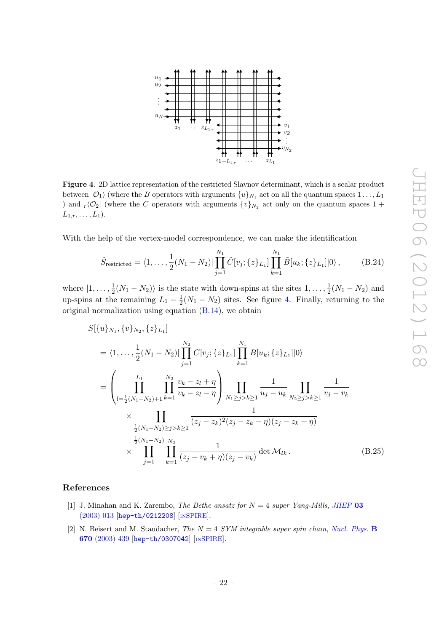

<span id="page-22-2"></span>Figure 4. 2D lattice representation of the restricted Slavnov determinant, which is a scalar product between  $|O_1\rangle$  (where the B operators with arguments  $\{u\}_{N_1}$  act on all the quantum spaces  $1 \ldots, L_1$ ) and  $_r\langle \mathcal{O}_2|$  (where the C operators with arguments  $\{v\}_{N_2}$  act only on the quantum spaces 1 +  $L_{1,r}, \ldots, L_1$ .

With the help of the vertex-model correspondence, we can make the identification

$$
\tilde{S}_{\text{restricted}} = \langle 1, \dots, \frac{1}{2}(N_1 - N_2) | \prod_{j=1}^{N_1} \tilde{C}[v_j; \{z\}_{L_1}] \prod_{k=1}^{N_1} \tilde{B}[u_k; \{z\}_{L_1}] |0\rangle, \tag{B.24}
$$

where  $\left|1,\ldots,\frac{1}{2}\right|$  $\frac{1}{2}(N_1 - N_2)$  is the state with down-spins at the sites  $1, \ldots, \frac{1}{2}$  $\frac{1}{2}(N_1 - N_2)$  and up-spins at the remaining  $L_1 - \frac{1}{2}$  $\frac{1}{2}(N_1 - N_2)$  sites. See figure [4.](#page-22-2) Finally, returning to the original normalization using equation [\(B.14\)](#page-20-3), we obtain

<span id="page-22-1"></span>
$$
S[{u}]_{N_1}, {v}]_{N_2}, {z}]_{L_1}]
$$
  
=  $\langle 1, ..., \frac{1}{2}(N_1 - N_2)| \prod_{j=1}^{N_2} C[v_j; {z}]_{L_1}] \prod_{k=1}^{N_1} B[u_k; {z}]_{L_1}]|0\rangle$   
=  $\left(\prod_{l=\frac{1}{2}(N_1 - N_2)+1}^{L_1} \prod_{k=1}^{N_2} \frac{v_k - z_l + \eta}{v_k - z_l - \eta} \right) \prod_{N_1 \ge j > k \ge 1} \frac{1}{u_j - u_k} \prod_{N_2 \ge j > k \ge 1} \frac{1}{v_j - v_k}$   
 $\times \prod_{\frac{1}{2}(N_1 - N_2) \ge j > k \ge 1} \overline{(z_j - z_k)^2 (z_j - z_k - \eta)(z_j - z_k + \eta)}$   
 $\times \prod_{j=1}^{\frac{1}{2}(N_1 - N_2)} \prod_{k=1}^{N_2} \frac{1}{(z_j - v_k + \eta)(z_j - v_k)} \det \mathcal{M}_{lk}.$  (B.25)

# References

- <span id="page-22-0"></span>[1] J. Minahan and K. Zarembo, *The Bethe ansatz for*  $N = 4$  *super Yang-Mills, [JHEP](http://dx.doi.org/10.1088/1126-6708/2003/03/013)* 03 [\(2003\) 013](http://dx.doi.org/10.1088/1126-6708/2003/03/013) [[hep-th/0212208](http://arxiv.org/abs/hep-th/0212208)] [IN[SPIRE](http://inspirehep.net/search?p=find+EPRINT+hep-th/0212208)].
- [2] N. Beisert and M. Staudacher, The  $N = 4$  SYM integrable super spin chain, [Nucl. Phys.](http://dx.doi.org/10.1016/j.nuclphysb.2003.08.015) B 670 [\(2003\) 439](http://dx.doi.org/10.1016/j.nuclphysb.2003.08.015) [[hep-th/0307042](http://arxiv.org/abs/hep-th/0307042)] [IN[SPIRE](http://inspirehep.net/search?p=find+EPRINT+hep-th/0307042)].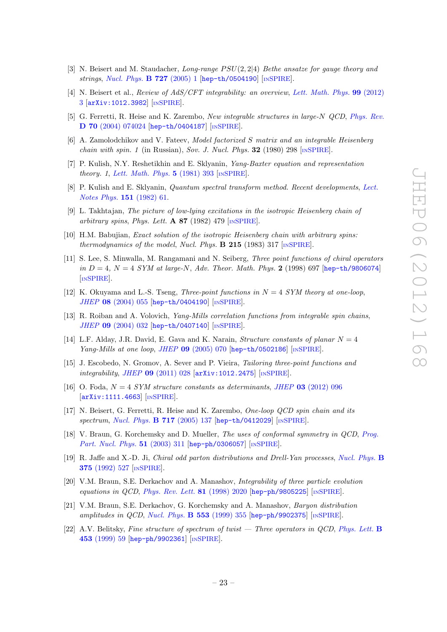- <span id="page-23-0"></span>[3] N. Beisert and M. Staudacher, Long-range  $PSU(2, 2|4)$  Bethe ansatze for gauge theory and strings, [Nucl. Phys.](http://dx.doi.org/10.1016/j.nuclphysb.2005.06.038) **B 727** (2005) 1 [[hep-th/0504190](http://arxiv.org/abs/hep-th/0504190)] [IN[SPIRE](http://inspirehep.net/search?p=find+EPRINT+hep-th/0504190)].
- <span id="page-23-1"></span>[4] N. Beisert et al., Review of AdS/CFT integrability: an overview, [Lett. Math. Phys.](http://dx.doi.org/10.1007/s11005-011-0529-2) 99 (2012) [3](http://dx.doi.org/10.1007/s11005-011-0529-2) [[arXiv:1012.3982](http://arxiv.org/abs/1012.3982)] [IN[SPIRE](http://inspirehep.net/search?p=find+EPRINT+arXiv:1012.3982)].
- <span id="page-23-2"></span>[5] G. Ferretti, R. Heise and K. Zarembo, New integrable structures in large-N QCD, [Phys. Rev.](http://dx.doi.org/10.1103/PhysRevD.70.074024) D 70 [\(2004\) 074024](http://dx.doi.org/10.1103/PhysRevD.70.074024) [[hep-th/0404187](http://arxiv.org/abs/hep-th/0404187)] [IN[SPIRE](http://inspirehep.net/search?p=find+EPRINT+hep-th/0404187)].
- <span id="page-23-3"></span>[6] A. Zamolodchikov and V. Fateev, Model factorized S matrix and an integrable Heisenberg chain with spin. 1 (in Russian), Sov. J. Nucl. Phys. 32 (1980) 298  $\text{[mSPIRE]}$  $\text{[mSPIRE]}$  $\text{[mSPIRE]}$ .
- <span id="page-23-4"></span>[7] P. Kulish, N.Y. Reshetikhin and E. Sklyanin, Yang-Baxter equation and representation theory. 1, [Lett. Math. Phys.](http://dx.doi.org/10.1007/BF02285311) 5 (1981) 393 [IN[SPIRE](http://inspirehep.net/search?p=find+J+Lett.Math.Phys.,5,393)].
- <span id="page-23-12"></span>[8] P. Kulish and E. Sklyanin, *Quantum spectral transform method. Recent developments, [Lect.](http://dx.doi.org/10.1007/3-540-11190-5_8)* [Notes Phys.](http://dx.doi.org/10.1007/3-540-11190-5_8) 151 (1982) 61.
- [9] L. Takhtajan, The picture of low-lying excitations in the isotropic Heisenberg chain of arbitrary spins, Phys. Lett. A 87 (1982) 479  $\text{[insPIRE]}$ .
- <span id="page-23-5"></span>[10] H.M. Babujian, Exact solution of the isotropic Heisenberg chain with arbitrary spins: thermodynamics of the model, Nucl. Phys.  $\bf{B}$  215 (1983) 317 [IN[SPIRE](http://inspirehep.net/search?p=find+J+Nucl.Phys.,B215,317)].
- <span id="page-23-6"></span>[11] S. Lee, S. Minwalla, M. Rangamani and N. Seiberg, Three point functions of chiral operators in  $D = 4$ ,  $N = 4$  SYM at large-N, Adv. Theor. Math. Phys. 2 (1998) 697 [[hep-th/9806074](http://arxiv.org/abs/hep-th/9806074)] [IN[SPIRE](http://inspirehep.net/search?p=find+EPRINT+hep-th/9806074)].
- [12] K. Okuyama and L.-S. Tseng, *Three-point functions in*  $N = 4$  *SYM theory at one-loop*, JHEP 08 [\(2004\) 055](http://dx.doi.org/10.1088/1126-6708/2004/08/055) [[hep-th/0404190](http://arxiv.org/abs/hep-th/0404190)] [IN[SPIRE](http://inspirehep.net/search?p=find+EPRINT+hep-th/0404190)].
- [13] R. Roiban and A. Volovich, *Yang-Mills correlation functions from integrable spin chains*, JHEP 09 [\(2004\) 032](http://dx.doi.org/10.1088/1126-6708/2004/09/032) [[hep-th/0407140](http://arxiv.org/abs/hep-th/0407140)] [IN[SPIRE](http://inspirehep.net/search?p=find+EPRINT+hep-th/0407140)].
- <span id="page-23-7"></span>[14] L.F. Alday, J.R. David, E. Gava and K. Narain, *Structure constants of planar*  $N = 4$ Yang-Mills at one loop, JHEP 09 [\(2005\) 070](http://dx.doi.org/10.1088/1126-6708/2005/09/070) [[hep-th/0502186](http://arxiv.org/abs/hep-th/0502186)] [IN[SPIRE](http://inspirehep.net/search?p=find+EPRINT+hep-th/0502186)].
- <span id="page-23-8"></span>[15] J. Escobedo, N. Gromov, A. Sever and P. Vieira, Tailoring three-point functions and integrability, JHEP 09 [\(2011\) 028](http://dx.doi.org/10.1007/JHEP09(2011)028) [[arXiv:1012.2475](http://arxiv.org/abs/1012.2475)] [IN[SPIRE](http://inspirehep.net/search?p=find+EPRINT+arXiv:1012.2475)].
- <span id="page-23-9"></span>[16] O. Foda,  $N = 4$  SYM structure constants as determinants, JHEP 03 [\(2012\) 096](http://dx.doi.org/10.1007/JHEP03(2012)096) [[arXiv:1111.4663](http://arxiv.org/abs/1111.4663)] [IN[SPIRE](http://inspirehep.net/search?p=find+EPRINT+arXiv:1111.4663)].
- <span id="page-23-10"></span>[17] N. Beisert, G. Ferretti, R. Heise and K. Zarembo, One-loop QCD spin chain and its spectrum, [Nucl. Phys.](http://dx.doi.org/10.1016/j.nuclphysb.2005.04.004) **B 717** (2005) 137 [[hep-th/0412029](http://arxiv.org/abs/hep-th/0412029)] [IN[SPIRE](http://inspirehep.net/search?p=find+EPRINT+hep-th/0412029)].
- <span id="page-23-11"></span>[18] V. Braun, G. Korchemsky and D. Mueller, The uses of conformal symmetry in QCD, [Prog.](http://dx.doi.org/10.1016/S0146-6410(03)90004-4) [Part. Nucl. Phys.](http://dx.doi.org/10.1016/S0146-6410(03)90004-4) 51 (2003) 311 [[hep-ph/0306057](http://arxiv.org/abs/hep-ph/0306057)] [IN[SPIRE](http://inspirehep.net/search?p=find+EPRINT+hep-ph/0306057)].
- <span id="page-23-13"></span>[19] R. Jaffe and X.-D. Ji, Chiral odd parton distributions and Drell-Yan processes, [Nucl. Phys.](http://dx.doi.org/10.1016/0550-3213(92)90110-W) B 375 [\(1992\) 527](http://dx.doi.org/10.1016/0550-3213(92)90110-W) [IN[SPIRE](http://inspirehep.net/search?p=find+J+Nucl.Phys.,B375,527)].
- <span id="page-23-14"></span>[20] V.M. Braun, S.E. Derkachov and A. Manashov, Integrability of three particle evolution equations in QCD, [Phys. Rev. Lett.](http://dx.doi.org/10.1103/PhysRevLett.81.2020) 81 (1998) 2020 [[hep-ph/9805225](http://arxiv.org/abs/hep-ph/9805225)] [IN[SPIRE](http://inspirehep.net/search?p=find+EPRINT+hep-ph/9805225)].
- [21] V.M. Braun, S.E. Derkachov, G. Korchemsky and A. Manashov, Baryon distribution amplitudes in QCD, [Nucl. Phys.](http://dx.doi.org/10.1016/S0550-3213(99)00265-5)  $B$  553 (1999) 355 [[hep-ph/9902375](http://arxiv.org/abs/hep-ph/9902375)] [IN[SPIRE](http://inspirehep.net/search?p=find+EPRINT+hep-ph/9902375)].
- [22] A.V. Belitsky, Fine structure of spectrum of twist Three operators in QCD, [Phys. Lett.](http://dx.doi.org/10.1016/S0370-2693(99)00326-3) B 453 [\(1999\) 59](http://dx.doi.org/10.1016/S0370-2693(99)00326-3) [[hep-ph/9902361](http://arxiv.org/abs/hep-ph/9902361)] [IN[SPIRE](http://inspirehep.net/search?p=find+EPRINT+hep-ph/9902361)].